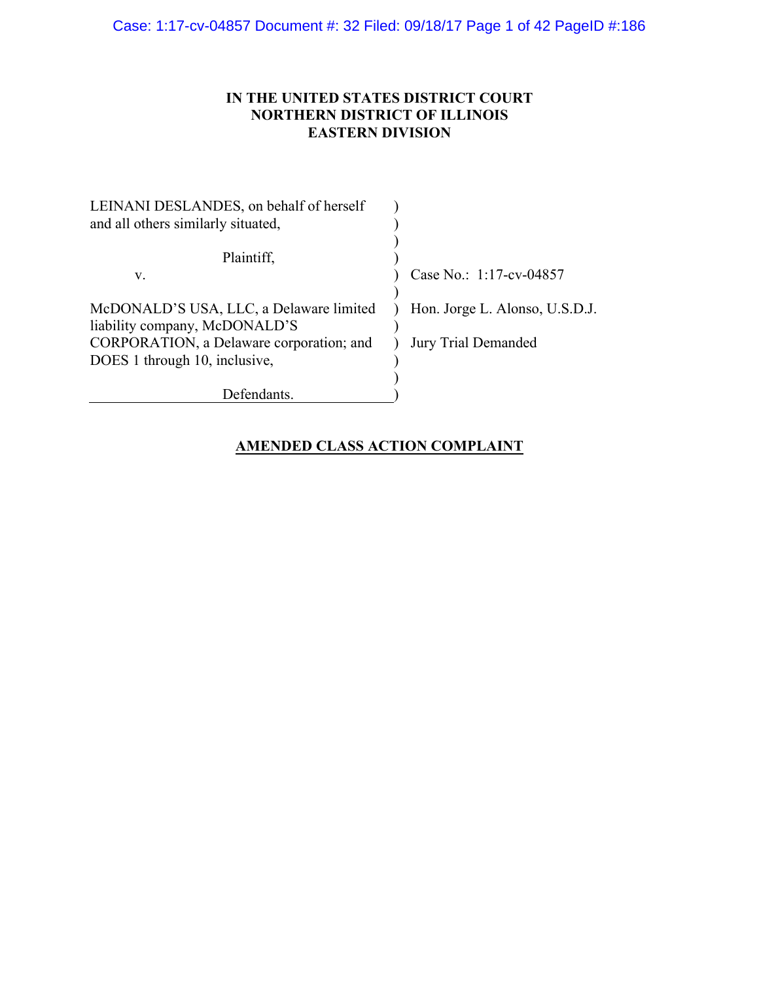## **IN THE UNITED STATES DISTRICT COURT NORTHERN DISTRICT OF ILLINOIS EASTERN DIVISION**

| LEINANI DESLANDES, on behalf of herself  |                                |
|------------------------------------------|--------------------------------|
| and all others similarly situated,       |                                |
| Plaintiff,                               |                                |
| V.                                       | Case No.: 1:17-cv-04857        |
|                                          |                                |
| McDONALD'S USA, LLC, a Delaware limited  | Hon. Jorge L. Alonso, U.S.D.J. |
| liability company, McDONALD'S            |                                |
| CORPORATION, a Delaware corporation; and | Jury Trial Demanded            |
| DOES 1 through 10, inclusive,            |                                |
|                                          |                                |
| Defendants.                              |                                |

# **AMENDED CLASS ACTION COMPLAINT**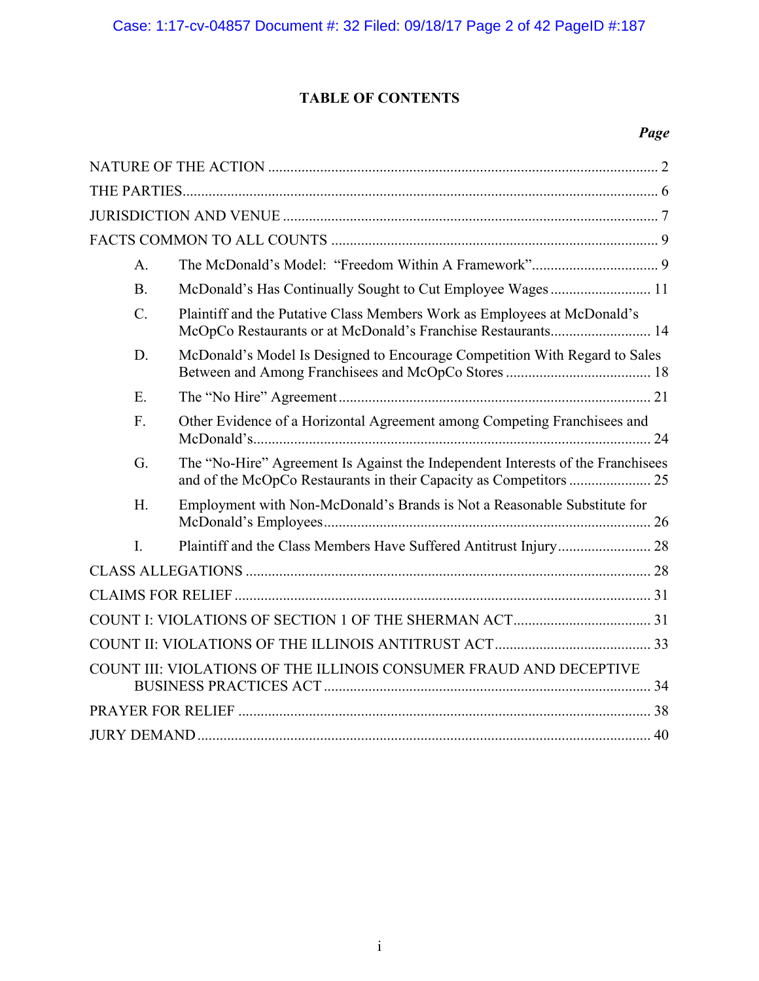# **TABLE OF CONTENTS**

# *Page*

| $\mathbf{A}$ . |                                                                                                                                          |  |
|----------------|------------------------------------------------------------------------------------------------------------------------------------------|--|
| B <sub>1</sub> | McDonald's Has Continually Sought to Cut Employee Wages  11                                                                              |  |
| $\mathcal{C}$  | Plaintiff and the Putative Class Members Work as Employees at McDonald's<br>McOpCo Restaurants or at McDonald's Franchise Restaurants 14 |  |
| D.             | McDonald's Model Is Designed to Encourage Competition With Regard to Sales                                                               |  |
| Ε.             |                                                                                                                                          |  |
| $F_{\cdot}$    | Other Evidence of a Horizontal Agreement among Competing Franchisees and                                                                 |  |
| G <sub>1</sub> | The "No-Hire" Agreement Is Against the Independent Interests of the Franchisees                                                          |  |
| H.             | Employment with Non-McDonald's Brands is Not a Reasonable Substitute for                                                                 |  |
| $\mathbf{I}$ . |                                                                                                                                          |  |
|                |                                                                                                                                          |  |
|                |                                                                                                                                          |  |
|                |                                                                                                                                          |  |
|                |                                                                                                                                          |  |
|                | COUNT III: VIOLATIONS OF THE ILLINOIS CONSUMER FRAUD AND DECEPTIVE                                                                       |  |
|                |                                                                                                                                          |  |
|                |                                                                                                                                          |  |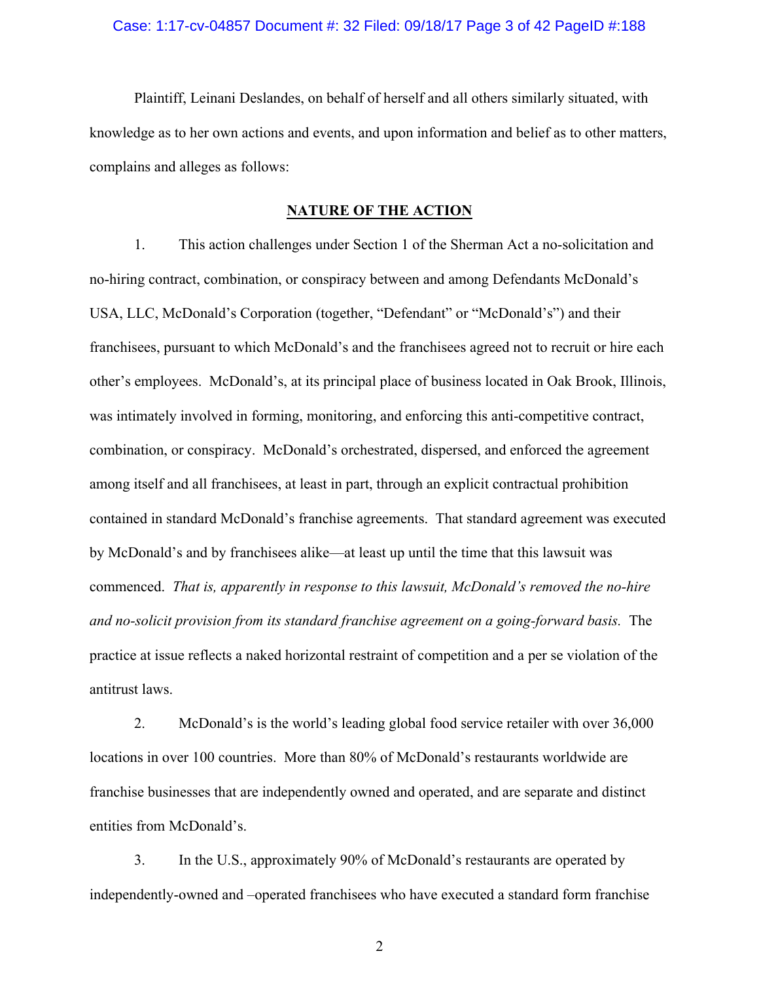#### Case: 1:17-cv-04857 Document #: 32 Filed: 09/18/17 Page 3 of 42 PageID #:188

Plaintiff, Leinani Deslandes, on behalf of herself and all others similarly situated, with knowledge as to her own actions and events, and upon information and belief as to other matters, complains and alleges as follows:

## **NATURE OF THE ACTION**

1. This action challenges under Section 1 of the Sherman Act a no-solicitation and no-hiring contract, combination, or conspiracy between and among Defendants McDonald's USA, LLC, McDonald's Corporation (together, "Defendant" or "McDonald's") and their franchisees, pursuant to which McDonald's and the franchisees agreed not to recruit or hire each other's employees. McDonald's, at its principal place of business located in Oak Brook, Illinois, was intimately involved in forming, monitoring, and enforcing this anti-competitive contract, combination, or conspiracy. McDonald's orchestrated, dispersed, and enforced the agreement among itself and all franchisees, at least in part, through an explicit contractual prohibition contained in standard McDonald's franchise agreements. That standard agreement was executed by McDonald's and by franchisees alike—at least up until the time that this lawsuit was commenced. *That is, apparently in response to this lawsuit, McDonald's removed the no-hire and no-solicit provision from its standard franchise agreement on a going-forward basis.* The practice at issue reflects a naked horizontal restraint of competition and a per se violation of the antitrust laws.

2. McDonald's is the world's leading global food service retailer with over 36,000 locations in over 100 countries. More than 80% of McDonald's restaurants worldwide are franchise businesses that are independently owned and operated, and are separate and distinct entities from McDonald's.

3. In the U.S., approximately 90% of McDonald's restaurants are operated by independently-owned and –operated franchisees who have executed a standard form franchise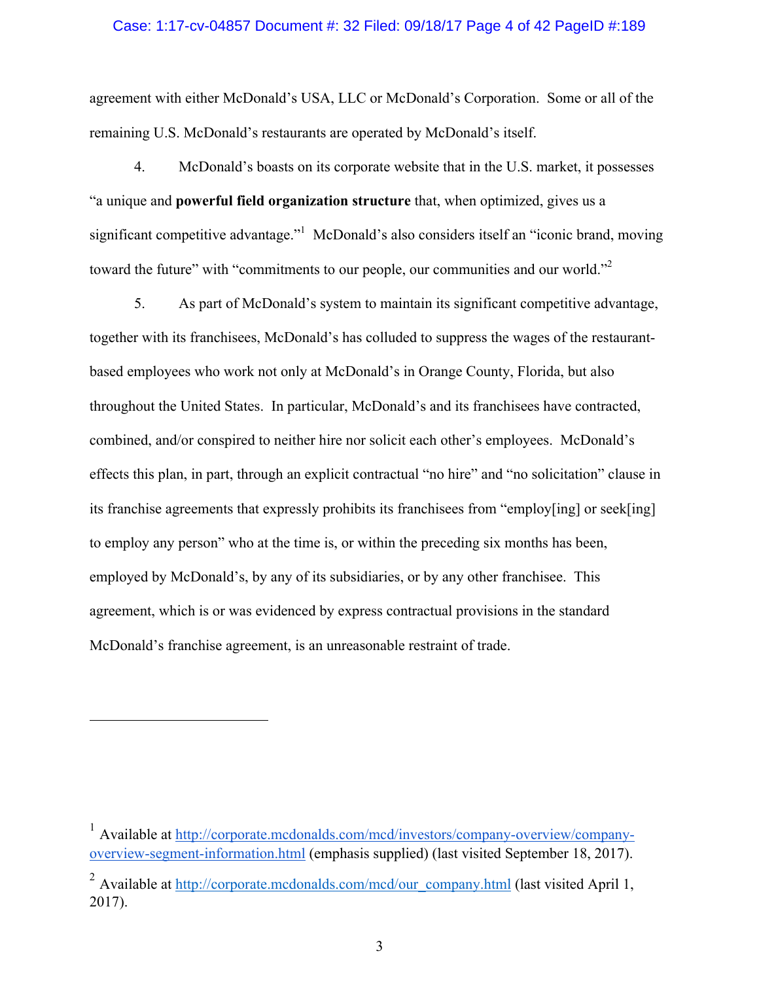### Case: 1:17-cv-04857 Document #: 32 Filed: 09/18/17 Page 4 of 42 PageID #:189

agreement with either McDonald's USA, LLC or McDonald's Corporation. Some or all of the remaining U.S. McDonald's restaurants are operated by McDonald's itself.

4. McDonald's boasts on its corporate website that in the U.S. market, it possesses "a unique and **powerful field organization structure** that, when optimized, gives us a significant competitive advantage."<sup>1</sup> McDonald's also considers itself an "iconic brand, moving toward the future" with "commitments to our people, our communities and our world."<sup>2</sup>

5. As part of McDonald's system to maintain its significant competitive advantage, together with its franchisees, McDonald's has colluded to suppress the wages of the restaurantbased employees who work not only at McDonald's in Orange County, Florida, but also throughout the United States. In particular, McDonald's and its franchisees have contracted, combined, and/or conspired to neither hire nor solicit each other's employees. McDonald's effects this plan, in part, through an explicit contractual "no hire" and "no solicitation" clause in its franchise agreements that expressly prohibits its franchisees from "employ[ing] or seek[ing] to employ any person" who at the time is, or within the preceding six months has been, employed by McDonald's, by any of its subsidiaries, or by any other franchisee. This agreement, which is or was evidenced by express contractual provisions in the standard McDonald's franchise agreement, is an unreasonable restraint of trade.

<sup>1</sup> Available at http://corporate.mcdonalds.com/mcd/investors/company-overview/companyoverview-segment-information.html (emphasis supplied) (last visited September 18, 2017).

<sup>&</sup>lt;sup>2</sup> Available at http://corporate.mcdonalds.com/mcd/our\_company.html (last visited April 1, 2017).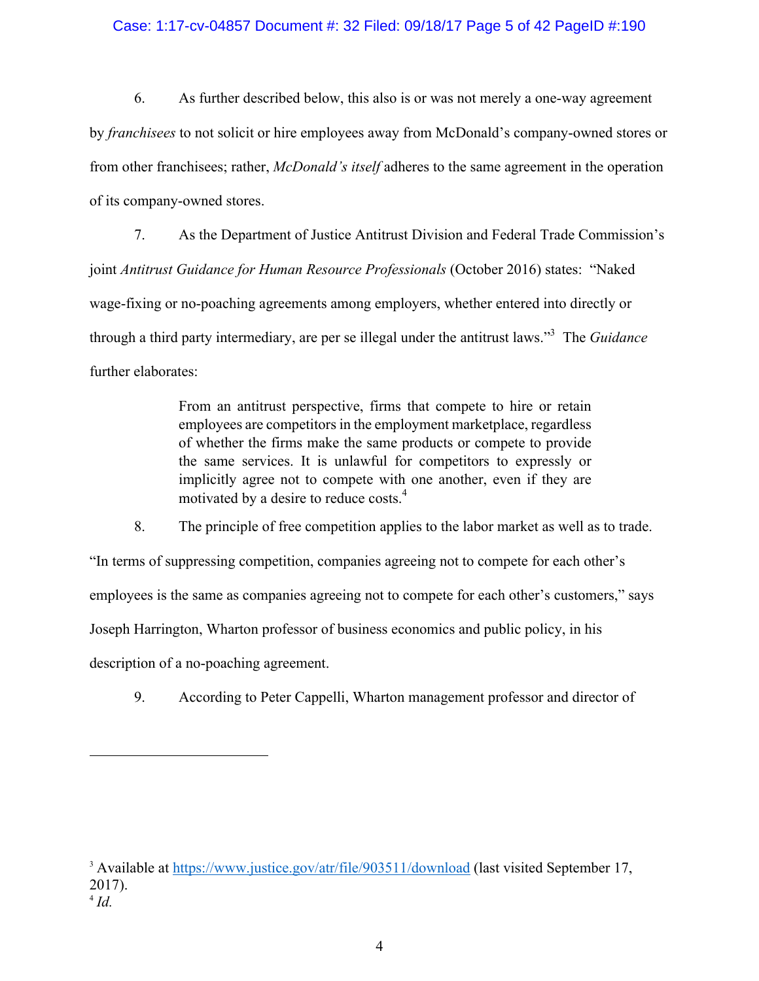## Case: 1:17-cv-04857 Document #: 32 Filed: 09/18/17 Page 5 of 42 PageID #:190

6. As further described below, this also is or was not merely a one-way agreement by *franchisees* to not solicit or hire employees away from McDonald's company-owned stores or from other franchisees; rather, *McDonald's itself* adheres to the same agreement in the operation of its company-owned stores.

7. As the Department of Justice Antitrust Division and Federal Trade Commission's joint *Antitrust Guidance for Human Resource Professionals* (October 2016) states: "Naked wage-fixing or no-poaching agreements among employers, whether entered into directly or through a third party intermediary, are per se illegal under the antitrust laws."3 The *Guidance* further elaborates:

> From an antitrust perspective, firms that compete to hire or retain employees are competitors in the employment marketplace, regardless of whether the firms make the same products or compete to provide the same services. It is unlawful for competitors to expressly or implicitly agree not to compete with one another, even if they are motivated by a desire to reduce costs.<sup>4</sup>

8. The principle of free competition applies to the labor market as well as to trade. "In terms of suppressing competition, companies agreeing not to compete for each other's employees is the same as companies agreeing not to compete for each other's customers," says Joseph Harrington, Wharton professor of business economics and public policy, in his description of a no-poaching agreement.

9. According to Peter Cappelli, Wharton management professor and director of

<sup>3</sup> Available at https://www.justice.gov/atr/file/903511/download (last visited September 17,  $2017$ ).<br><sup>4</sup> *Id.*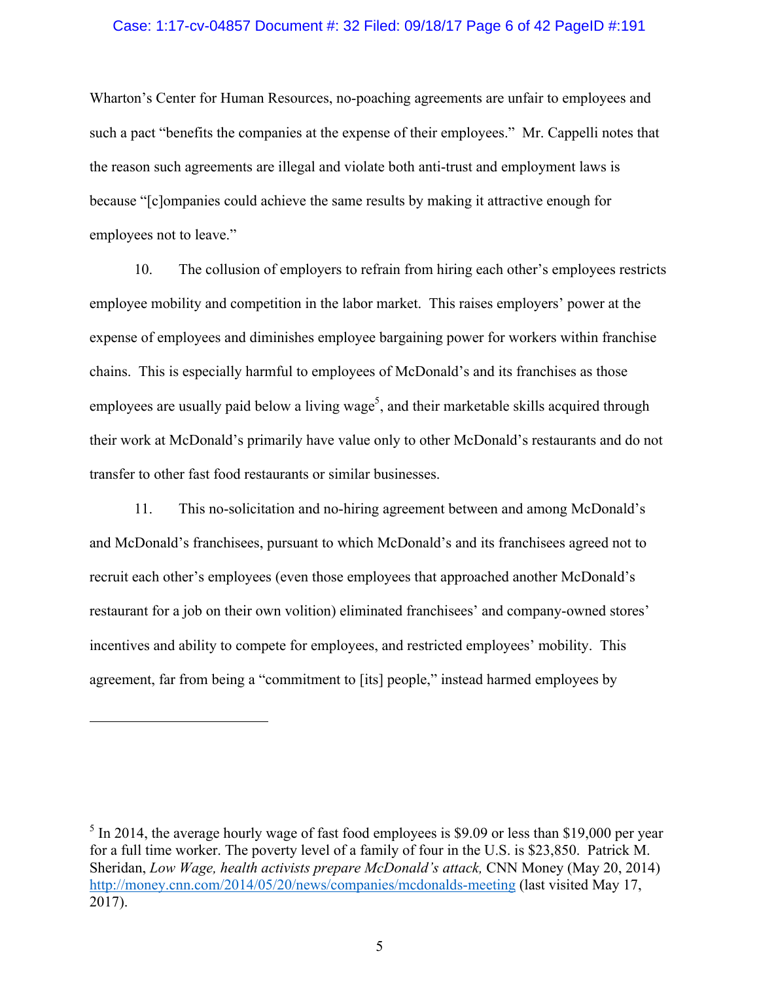#### Case: 1:17-cv-04857 Document #: 32 Filed: 09/18/17 Page 6 of 42 PageID #:191

Wharton's Center for Human Resources, no-poaching agreements are unfair to employees and such a pact "benefits the companies at the expense of their employees." Mr. Cappelli notes that the reason such agreements are illegal and violate both anti-trust and employment laws is because "[c]ompanies could achieve the same results by making it attractive enough for employees not to leave."

10. The collusion of employers to refrain from hiring each other's employees restricts employee mobility and competition in the labor market. This raises employers' power at the expense of employees and diminishes employee bargaining power for workers within franchise chains. This is especially harmful to employees of McDonald's and its franchises as those employees are usually paid below a living wage<sup>5</sup>, and their marketable skills acquired through their work at McDonald's primarily have value only to other McDonald's restaurants and do not transfer to other fast food restaurants or similar businesses.

11. This no-solicitation and no-hiring agreement between and among McDonald's and McDonald's franchisees, pursuant to which McDonald's and its franchisees agreed not to recruit each other's employees (even those employees that approached another McDonald's restaurant for a job on their own volition) eliminated franchisees' and company-owned stores' incentives and ability to compete for employees, and restricted employees' mobility. This agreement, far from being a "commitment to [its] people," instead harmed employees by

 $5$  In 2014, the average hourly wage of fast food employees is \$9.09 or less than \$19,000 per year for a full time worker. The poverty level of a family of four in the U.S. is \$23,850. Patrick M. Sheridan, *Low Wage, health activists prepare McDonald's attack,* CNN Money (May 20, 2014) http://money.cnn.com/2014/05/20/news/companies/mcdonalds-meeting (last visited May 17, 2017).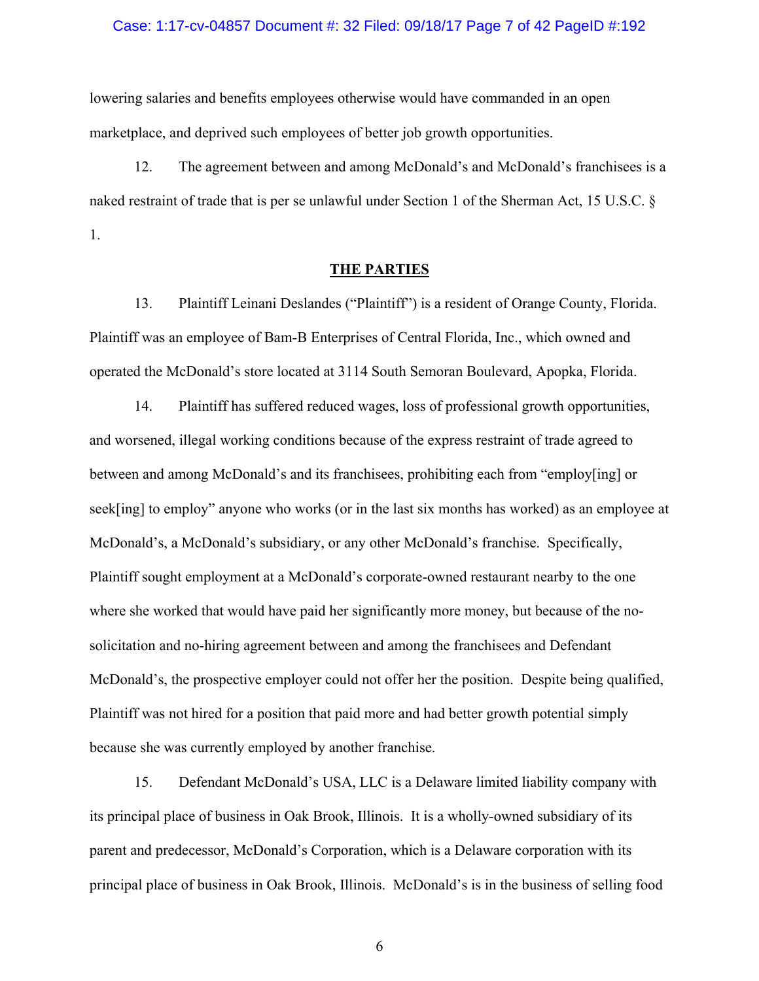## Case: 1:17-cv-04857 Document #: 32 Filed: 09/18/17 Page 7 of 42 PageID #:192

lowering salaries and benefits employees otherwise would have commanded in an open marketplace, and deprived such employees of better job growth opportunities.

12. The agreement between and among McDonald's and McDonald's franchisees is a naked restraint of trade that is per se unlawful under Section 1 of the Sherman Act, 15 U.S.C. § 1.

## **THE PARTIES**

13. Plaintiff Leinani Deslandes ("Plaintiff") is a resident of Orange County, Florida. Plaintiff was an employee of Bam-B Enterprises of Central Florida, Inc., which owned and operated the McDonald's store located at 3114 South Semoran Boulevard, Apopka, Florida.

14. Plaintiff has suffered reduced wages, loss of professional growth opportunities, and worsened, illegal working conditions because of the express restraint of trade agreed to between and among McDonald's and its franchisees, prohibiting each from "employ[ing] or seek[ing] to employ" anyone who works (or in the last six months has worked) as an employee at McDonald's, a McDonald's subsidiary, or any other McDonald's franchise. Specifically, Plaintiff sought employment at a McDonald's corporate-owned restaurant nearby to the one where she worked that would have paid her significantly more money, but because of the nosolicitation and no-hiring agreement between and among the franchisees and Defendant McDonald's, the prospective employer could not offer her the position. Despite being qualified, Plaintiff was not hired for a position that paid more and had better growth potential simply because she was currently employed by another franchise.

15. Defendant McDonald's USA, LLC is a Delaware limited liability company with its principal place of business in Oak Brook, Illinois. It is a wholly-owned subsidiary of its parent and predecessor, McDonald's Corporation, which is a Delaware corporation with its principal place of business in Oak Brook, Illinois. McDonald's is in the business of selling food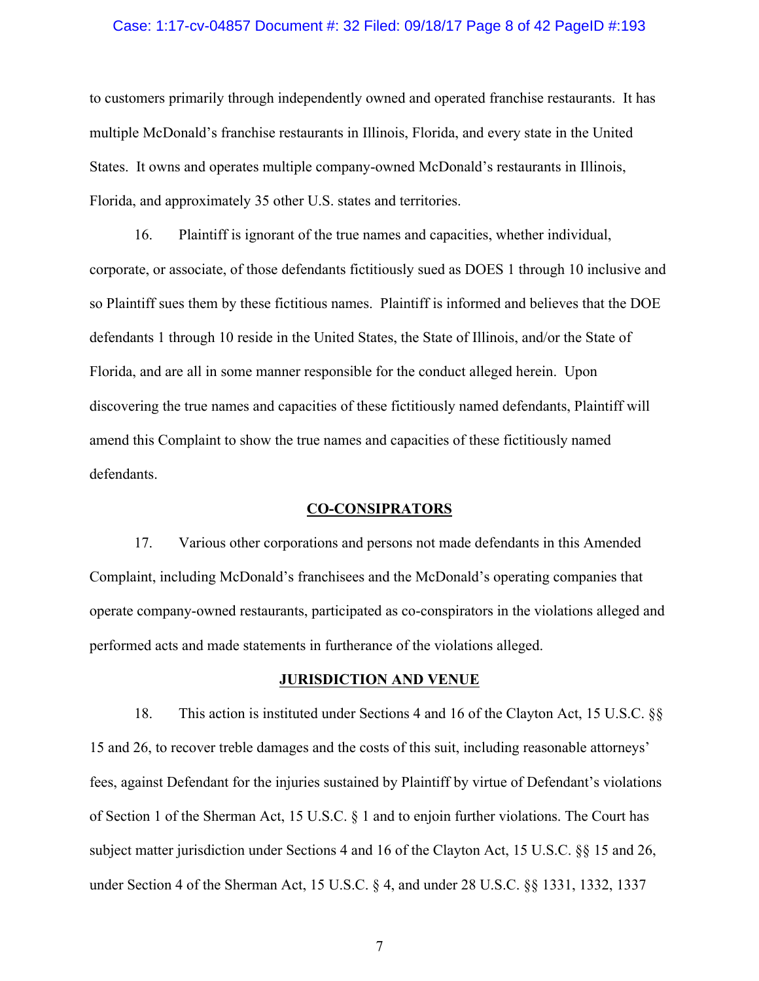#### Case: 1:17-cv-04857 Document #: 32 Filed: 09/18/17 Page 8 of 42 PageID #:193

to customers primarily through independently owned and operated franchise restaurants. It has multiple McDonald's franchise restaurants in Illinois, Florida, and every state in the United States. It owns and operates multiple company-owned McDonald's restaurants in Illinois, Florida, and approximately 35 other U.S. states and territories.

16. Plaintiff is ignorant of the true names and capacities, whether individual, corporate, or associate, of those defendants fictitiously sued as DOES 1 through 10 inclusive and so Plaintiff sues them by these fictitious names. Plaintiff is informed and believes that the DOE defendants 1 through 10 reside in the United States, the State of Illinois, and/or the State of Florida, and are all in some manner responsible for the conduct alleged herein. Upon discovering the true names and capacities of these fictitiously named defendants, Plaintiff will amend this Complaint to show the true names and capacities of these fictitiously named defendants.

#### **CO-CONSIPRATORS**

17. Various other corporations and persons not made defendants in this Amended Complaint, including McDonald's franchisees and the McDonald's operating companies that operate company-owned restaurants, participated as co-conspirators in the violations alleged and performed acts and made statements in furtherance of the violations alleged.

## **JURISDICTION AND VENUE**

18. This action is instituted under Sections 4 and 16 of the Clayton Act, 15 U.S.C. §§ 15 and 26, to recover treble damages and the costs of this suit, including reasonable attorneys' fees, against Defendant for the injuries sustained by Plaintiff by virtue of Defendant's violations of Section 1 of the Sherman Act, 15 U.S.C. § 1 and to enjoin further violations. The Court has subject matter jurisdiction under Sections 4 and 16 of the Clayton Act, 15 U.S.C. §§ 15 and 26, under Section 4 of the Sherman Act, 15 U.S.C. § 4, and under 28 U.S.C. §§ 1331, 1332, 1337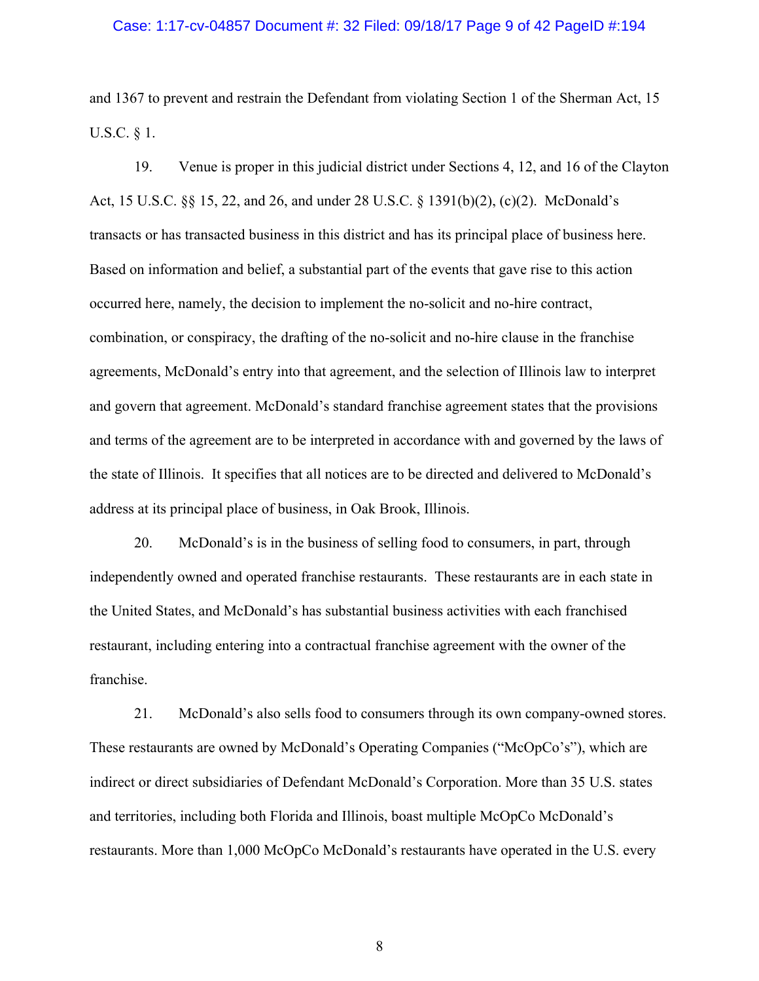#### Case: 1:17-cv-04857 Document #: 32 Filed: 09/18/17 Page 9 of 42 PageID #:194

and 1367 to prevent and restrain the Defendant from violating Section 1 of the Sherman Act, 15 U.S.C. § 1.

19. Venue is proper in this judicial district under Sections 4, 12, and 16 of the Clayton Act, 15 U.S.C. §§ 15, 22, and 26, and under 28 U.S.C. § 1391(b)(2), (c)(2). McDonald's transacts or has transacted business in this district and has its principal place of business here. Based on information and belief, a substantial part of the events that gave rise to this action occurred here, namely, the decision to implement the no-solicit and no-hire contract, combination, or conspiracy, the drafting of the no-solicit and no-hire clause in the franchise agreements, McDonald's entry into that agreement, and the selection of Illinois law to interpret and govern that agreement. McDonald's standard franchise agreement states that the provisions and terms of the agreement are to be interpreted in accordance with and governed by the laws of the state of Illinois. It specifies that all notices are to be directed and delivered to McDonald's address at its principal place of business, in Oak Brook, Illinois.

20. McDonald's is in the business of selling food to consumers, in part, through independently owned and operated franchise restaurants. These restaurants are in each state in the United States, and McDonald's has substantial business activities with each franchised restaurant, including entering into a contractual franchise agreement with the owner of the franchise.

21. McDonald's also sells food to consumers through its own company-owned stores. These restaurants are owned by McDonald's Operating Companies ("McOpCo's"), which are indirect or direct subsidiaries of Defendant McDonald's Corporation. More than 35 U.S. states and territories, including both Florida and Illinois, boast multiple McOpCo McDonald's restaurants. More than 1,000 McOpCo McDonald's restaurants have operated in the U.S. every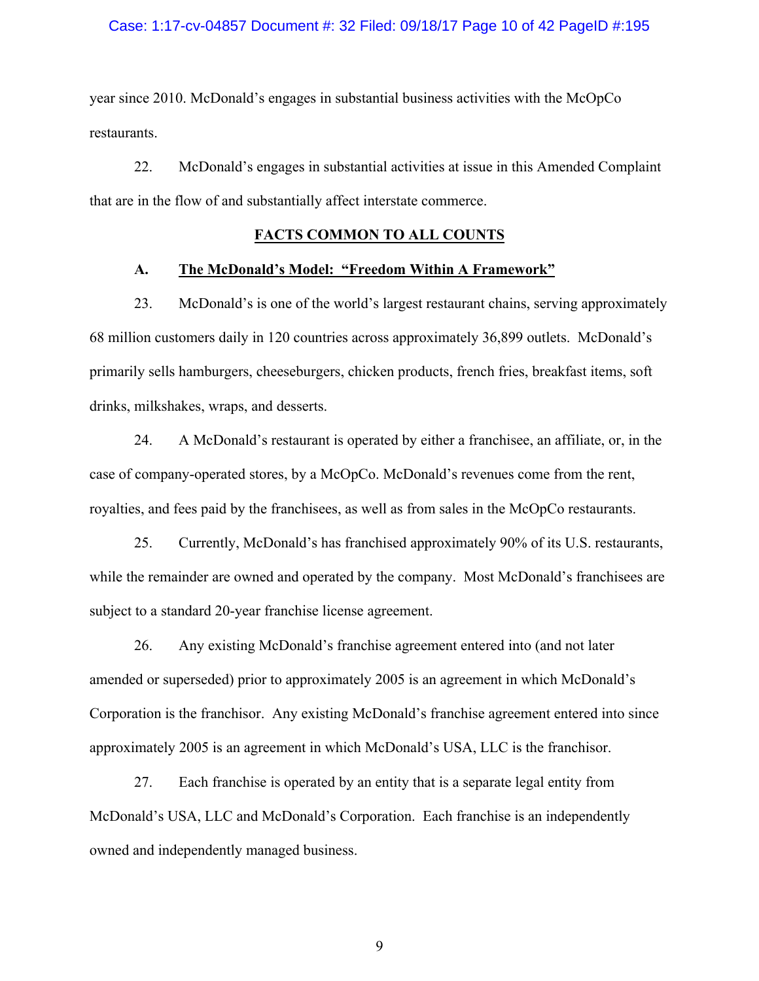#### Case: 1:17-cv-04857 Document #: 32 Filed: 09/18/17 Page 10 of 42 PageID #:195

year since 2010. McDonald's engages in substantial business activities with the McOpCo restaurants.

22. McDonald's engages in substantial activities at issue in this Amended Complaint that are in the flow of and substantially affect interstate commerce.

## **FACTS COMMON TO ALL COUNTS**

## **A. The McDonald's Model: "Freedom Within A Framework"**

23. McDonald's is one of the world's largest restaurant chains, serving approximately 68 million customers daily in 120 countries across approximately 36,899 outlets. McDonald's primarily sells hamburgers, cheeseburgers, chicken products, french fries, breakfast items, soft drinks, milkshakes, wraps, and desserts.

24. A McDonald's restaurant is operated by either a franchisee, an affiliate, or, in the case of company-operated stores, by a McOpCo. McDonald's revenues come from the rent, royalties, and fees paid by the franchisees, as well as from sales in the McOpCo restaurants.

25. Currently, McDonald's has franchised approximately 90% of its U.S. restaurants, while the remainder are owned and operated by the company. Most McDonald's franchisees are subject to a standard 20-year franchise license agreement.

26. Any existing McDonald's franchise agreement entered into (and not later amended or superseded) prior to approximately 2005 is an agreement in which McDonald's Corporation is the franchisor. Any existing McDonald's franchise agreement entered into since approximately 2005 is an agreement in which McDonald's USA, LLC is the franchisor.

27. Each franchise is operated by an entity that is a separate legal entity from McDonald's USA, LLC and McDonald's Corporation. Each franchise is an independently owned and independently managed business.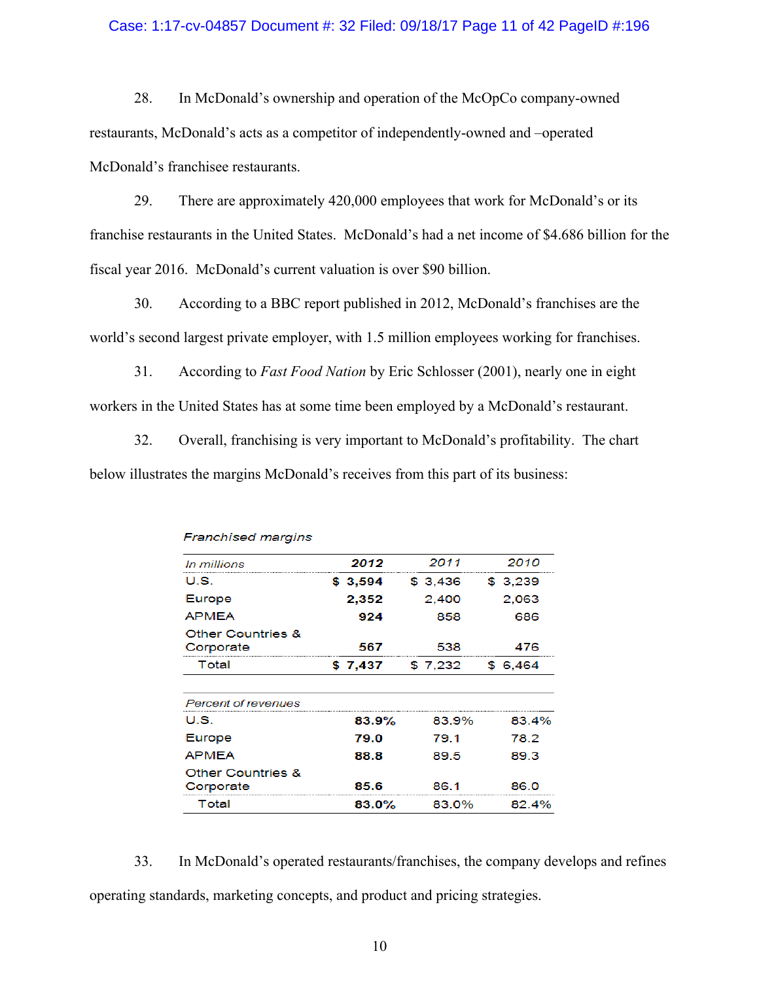## Case: 1:17-cv-04857 Document #: 32 Filed: 09/18/17 Page 11 of 42 PageID #:196

28. In McDonald's ownership and operation of the McOpCo company-owned restaurants, McDonald's acts as a competitor of independently-owned and –operated McDonald's franchisee restaurants.

29. There are approximately 420,000 employees that work for McDonald's or its franchise restaurants in the United States. McDonald's had a net income of \$4.686 billion for the fiscal year 2016. McDonald's current valuation is over \$90 billion.

30. According to a BBC report published in 2012, McDonald's franchises are the world's second largest private employer, with 1.5 million employees working for franchises.

31. According to *Fast Food Nation* by Eric Schlosser (2001), nearly one in eight workers in the United States has at some time been employed by a McDonald's restaurant.

32. Overall, franchising is very important to McDonald's profitability. The chart below illustrates the margins McDonald's receives from this part of its business:

| In millions                               | 2012     | 2011     | 2010     |
|-------------------------------------------|----------|----------|----------|
| U.S.                                      | \$3,594  | \$ 3,436 | \$ 3,239 |
| Europe                                    | 2,352    | 2,400    | 2.063    |
| <b>APMEA</b>                              | 924      | 858      | 686      |
| <b>Other Countries &amp;</b><br>Corporate | 567      | 538      | 476      |
| Total                                     | \$7.437  | \$7.232  | \$6.464  |
| Percent of revenues                       |          |          |          |
| U.S.                                      | 83.9%    | 83.9%    | 83.4%    |
| Europe                                    | 79.0     | 79.1     | 78.2     |
| <b>APMEA</b>                              | 88.8     | 89.5     | 89.3     |
| <b>Other Countries &amp;</b><br>Corporate | 85.6     | 86.1     | 86.0     |
| Total                                     | $83.0\%$ | 83.0%    | 82.4%    |

**Franchised margins** 

33. In McDonald's operated restaurants/franchises, the company develops and refines operating standards, marketing concepts, and product and pricing strategies.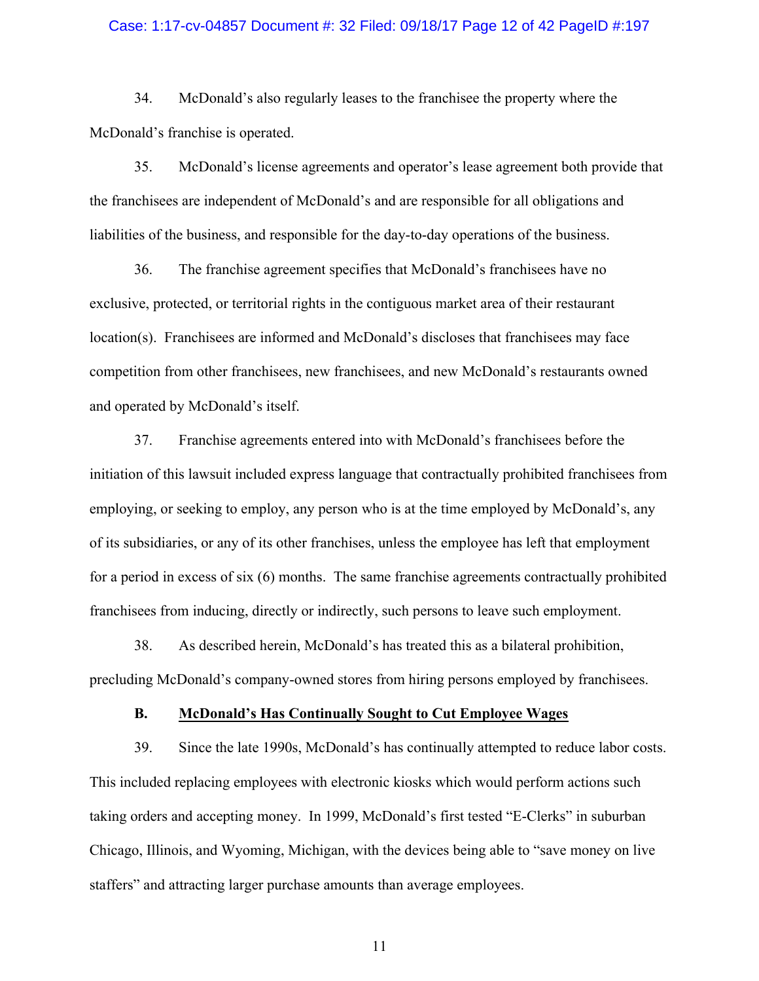#### Case: 1:17-cv-04857 Document #: 32 Filed: 09/18/17 Page 12 of 42 PageID #:197

34. McDonald's also regularly leases to the franchisee the property where the McDonald's franchise is operated.

35. McDonald's license agreements and operator's lease agreement both provide that the franchisees are independent of McDonald's and are responsible for all obligations and liabilities of the business, and responsible for the day-to-day operations of the business.

36. The franchise agreement specifies that McDonald's franchisees have no exclusive, protected, or territorial rights in the contiguous market area of their restaurant location(s). Franchisees are informed and McDonald's discloses that franchisees may face competition from other franchisees, new franchisees, and new McDonald's restaurants owned and operated by McDonald's itself.

37. Franchise agreements entered into with McDonald's franchisees before the initiation of this lawsuit included express language that contractually prohibited franchisees from employing, or seeking to employ, any person who is at the time employed by McDonald's, any of its subsidiaries, or any of its other franchises, unless the employee has left that employment for a period in excess of six (6) months. The same franchise agreements contractually prohibited franchisees from inducing, directly or indirectly, such persons to leave such employment.

38. As described herein, McDonald's has treated this as a bilateral prohibition, precluding McDonald's company-owned stores from hiring persons employed by franchisees.

## **B. McDonald's Has Continually Sought to Cut Employee Wages**

39. Since the late 1990s, McDonald's has continually attempted to reduce labor costs. This included replacing employees with electronic kiosks which would perform actions such taking orders and accepting money. In 1999, McDonald's first tested "E-Clerks" in suburban Chicago, Illinois, and Wyoming, Michigan, with the devices being able to "save money on live staffers" and attracting larger purchase amounts than average employees.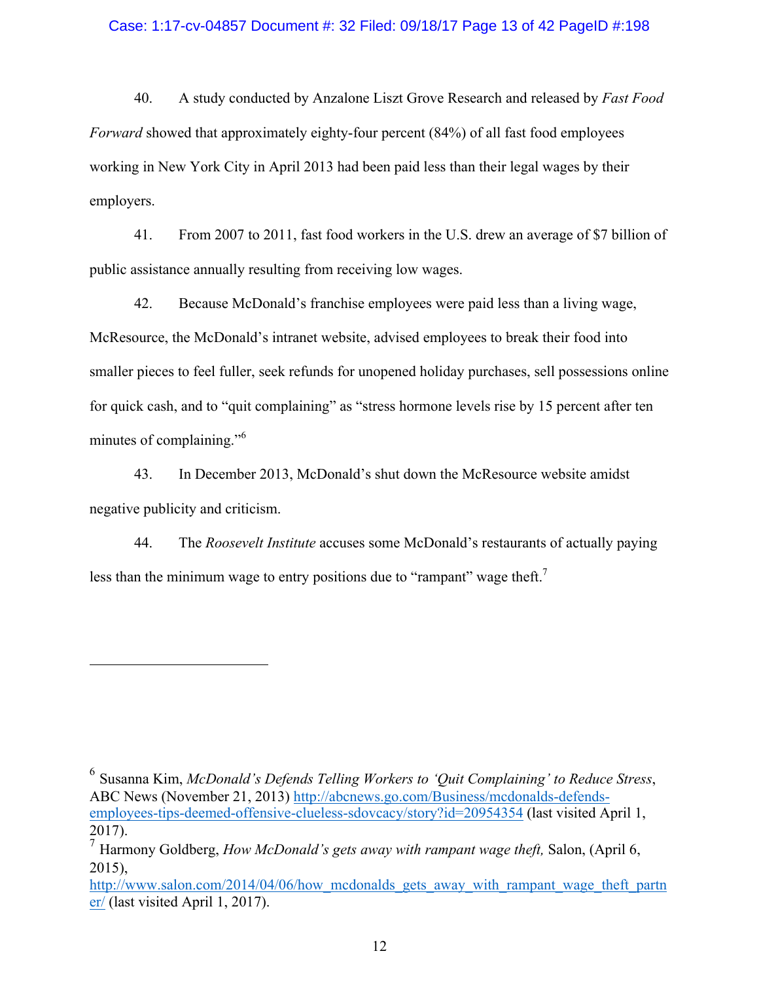## Case: 1:17-cv-04857 Document #: 32 Filed: 09/18/17 Page 13 of 42 PageID #:198

40. A study conducted by Anzalone Liszt Grove Research and released by *Fast Food Forward* showed that approximately eighty-four percent (84%) of all fast food employees working in New York City in April 2013 had been paid less than their legal wages by their employers.

41. From 2007 to 2011, fast food workers in the U.S. drew an average of \$7 billion of public assistance annually resulting from receiving low wages.

42. Because McDonald's franchise employees were paid less than a living wage, McResource, the McDonald's intranet website, advised employees to break their food into smaller pieces to feel fuller, seek refunds for unopened holiday purchases, sell possessions online for quick cash, and to "quit complaining" as "stress hormone levels rise by 15 percent after ten minutes of complaining."<sup>6</sup>

43. In December 2013, McDonald's shut down the McResource website amidst negative publicity and criticism.

<u>.</u>

44. The *Roosevelt Institute* accuses some McDonald's restaurants of actually paying less than the minimum wage to entry positions due to "rampant" wage theft.<sup>7</sup>

<sup>6</sup> Susanna Kim, *McDonald's Defends Telling Workers to 'Quit Complaining' to Reduce Stress*, ABC News (November 21, 2013) http://abcnews.go.com/Business/mcdonalds-defendsemployees-tips-deemed-offensive-clueless-sdovcacy/story?id=20954354 (last visited April 1, 2017).

http://www.salon.com/2014/04/06/how\_mcdonalds\_gets\_away\_with\_rampant\_wage\_theft\_partn er/ (last visited April 1, 2017).

<sup>7</sup> Harmony Goldberg, *How McDonald's gets away with rampant wage theft,* Salon, (April 6, 2015),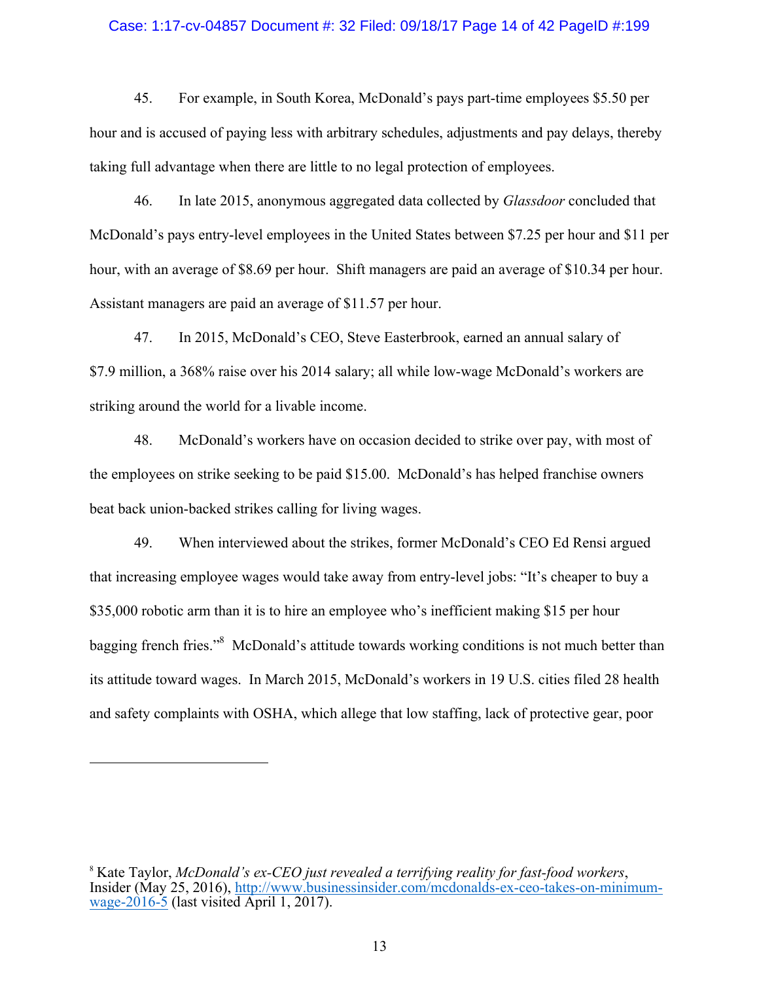#### Case: 1:17-cv-04857 Document #: 32 Filed: 09/18/17 Page 14 of 42 PageID #:199

45. For example, in South Korea, McDonald's pays part-time employees \$5.50 per hour and is accused of paying less with arbitrary schedules, adjustments and pay delays, thereby taking full advantage when there are little to no legal protection of employees.

46. In late 2015, anonymous aggregated data collected by *Glassdoor* concluded that McDonald's pays entry-level employees in the United States between \$7.25 per hour and \$11 per hour, with an average of \$8.69 per hour. Shift managers are paid an average of \$10.34 per hour. Assistant managers are paid an average of \$11.57 per hour.

47. In 2015, McDonald's CEO, Steve Easterbrook, earned an annual salary of \$7.9 million, a 368% raise over his 2014 salary; all while low-wage McDonald's workers are striking around the world for a livable income.

48. McDonald's workers have on occasion decided to strike over pay, with most of the employees on strike seeking to be paid \$15.00. McDonald's has helped franchise owners beat back union-backed strikes calling for living wages.

49. When interviewed about the strikes, former McDonald's CEO Ed Rensi argued that increasing employee wages would take away from entry-level jobs: "It's cheaper to buy a \$35,000 robotic arm than it is to hire an employee who's inefficient making \$15 per hour bagging french fries."<sup>8</sup> McDonald's attitude towards working conditions is not much better than its attitude toward wages. In March 2015, McDonald's workers in 19 U.S. cities filed 28 health and safety complaints with OSHA, which allege that low staffing, lack of protective gear, poor

<sup>8</sup> Kate Taylor, *McDonald's ex-CEO just revealed a terrifying reality for fast-food workers*, Insider (May 25, 2016), http://www.businessinsider.com/mcdonalds-ex-ceo-takes-on-minimum- wage-2016-5 (last visited April 1, 2017).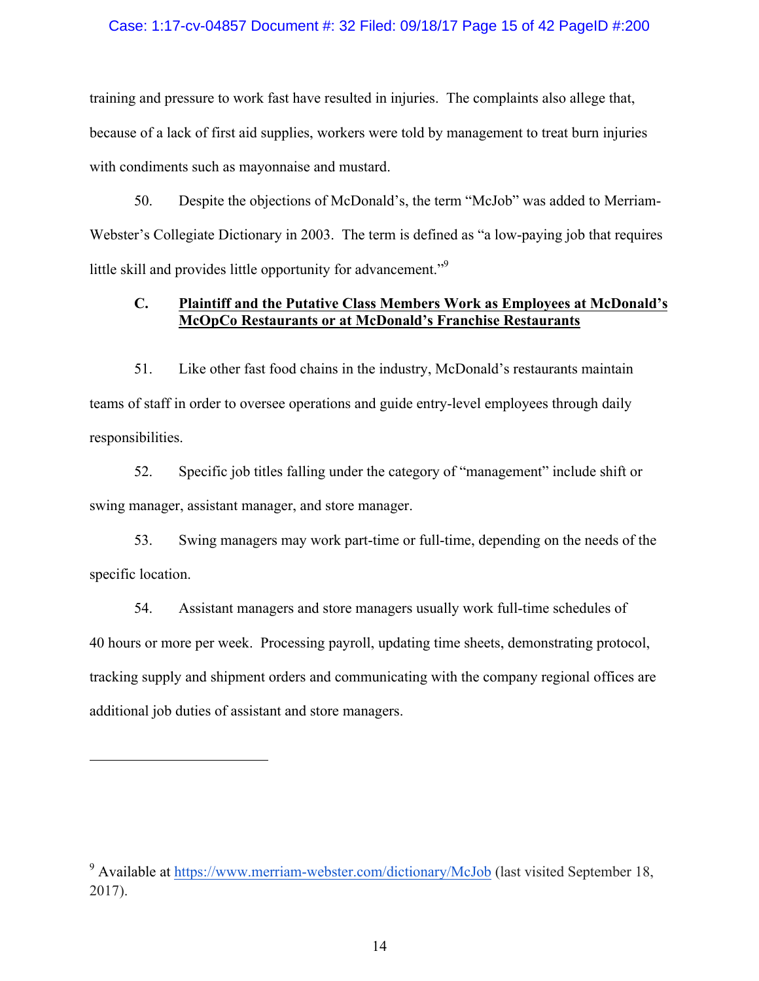## Case: 1:17-cv-04857 Document #: 32 Filed: 09/18/17 Page 15 of 42 PageID #:200

training and pressure to work fast have resulted in injuries. The complaints also allege that, because of a lack of first aid supplies, workers were told by management to treat burn injuries with condiments such as mayonnaise and mustard.

50. Despite the objections of McDonald's, the term "McJob" was added to Merriam-Webster's Collegiate Dictionary in 2003. The term is defined as "a low-paying job that requires" little skill and provides little opportunity for advancement."<sup>9</sup>

## **C. Plaintiff and the Putative Class Members Work as Employees at McDonald's McOpCo Restaurants or at McDonald's Franchise Restaurants**

51. Like other fast food chains in the industry, McDonald's restaurants maintain teams of staff in order to oversee operations and guide entry-level employees through daily responsibilities.

52. Specific job titles falling under the category of "management" include shift or swing manager, assistant manager, and store manager.

53. Swing managers may work part-time or full-time, depending on the needs of the specific location.

54. Assistant managers and store managers usually work full-time schedules of 40 hours or more per week. Processing payroll, updating time sheets, demonstrating protocol, tracking supply and shipment orders and communicating with the company regional offices are additional job duties of assistant and store managers.

<sup>9</sup> Available at https://www.merriam-webster.com/dictionary/McJob (last visited September 18, 2017).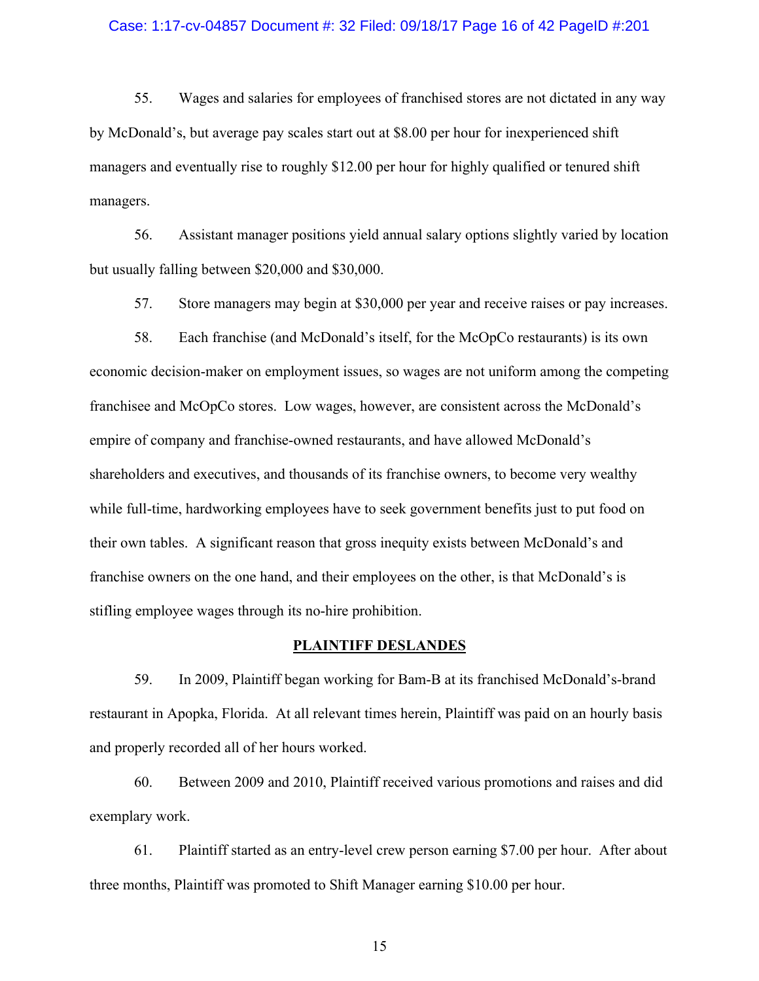#### Case: 1:17-cv-04857 Document #: 32 Filed: 09/18/17 Page 16 of 42 PageID #:201

55. Wages and salaries for employees of franchised stores are not dictated in any way by McDonald's, but average pay scales start out at \$8.00 per hour for inexperienced shift managers and eventually rise to roughly \$12.00 per hour for highly qualified or tenured shift managers.

56. Assistant manager positions yield annual salary options slightly varied by location but usually falling between \$20,000 and \$30,000.

57. Store managers may begin at \$30,000 per year and receive raises or pay increases.

58. Each franchise (and McDonald's itself, for the McOpCo restaurants) is its own economic decision-maker on employment issues, so wages are not uniform among the competing franchisee and McOpCo stores. Low wages, however, are consistent across the McDonald's empire of company and franchise-owned restaurants, and have allowed McDonald's shareholders and executives, and thousands of its franchise owners, to become very wealthy while full-time, hardworking employees have to seek government benefits just to put food on their own tables. A significant reason that gross inequity exists between McDonald's and franchise owners on the one hand, and their employees on the other, is that McDonald's is stifling employee wages through its no-hire prohibition.

#### **PLAINTIFF DESLANDES**

59. In 2009, Plaintiff began working for Bam-B at its franchised McDonald's-brand restaurant in Apopka, Florida. At all relevant times herein, Plaintiff was paid on an hourly basis and properly recorded all of her hours worked.

60. Between 2009 and 2010, Plaintiff received various promotions and raises and did exemplary work.

61. Plaintiff started as an entry-level crew person earning \$7.00 per hour. After about three months, Plaintiff was promoted to Shift Manager earning \$10.00 per hour.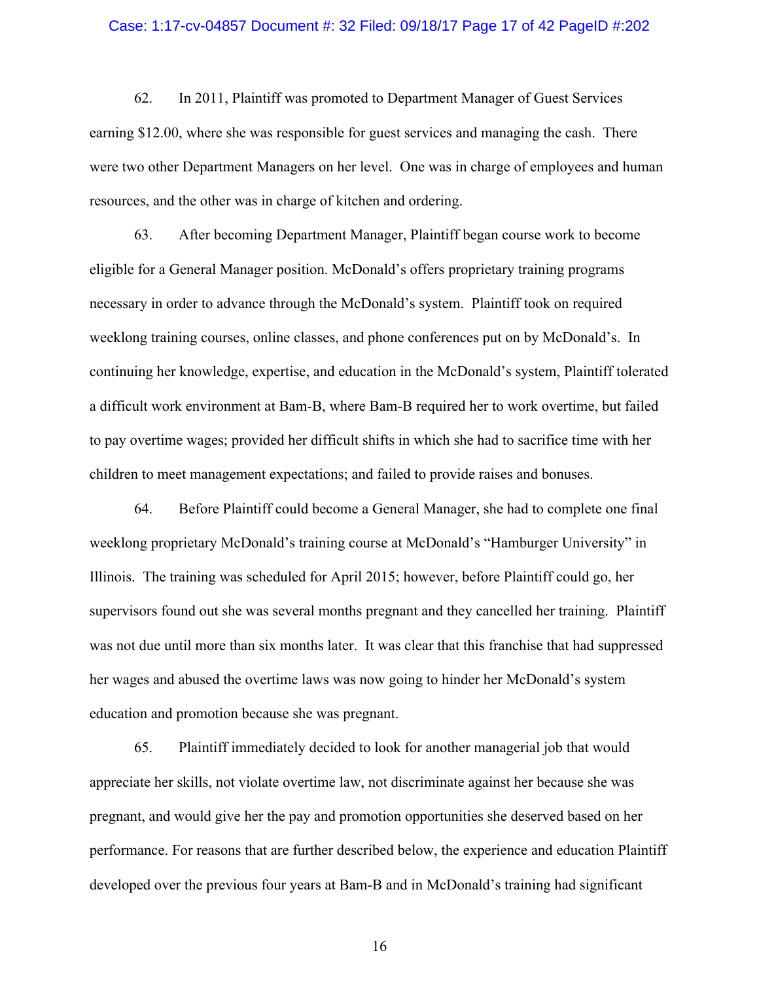#### Case: 1:17-cv-04857 Document #: 32 Filed: 09/18/17 Page 17 of 42 PageID #:202

62. In 2011, Plaintiff was promoted to Department Manager of Guest Services earning \$12.00, where she was responsible for guest services and managing the cash. There were two other Department Managers on her level. One was in charge of employees and human resources, and the other was in charge of kitchen and ordering.

63. After becoming Department Manager, Plaintiff began course work to become eligible for a General Manager position. McDonald's offers proprietary training programs necessary in order to advance through the McDonald's system. Plaintiff took on required weeklong training courses, online classes, and phone conferences put on by McDonald's. In continuing her knowledge, expertise, and education in the McDonald's system, Plaintiff tolerated a difficult work environment at Bam-B, where Bam-B required her to work overtime, but failed to pay overtime wages; provided her difficult shifts in which she had to sacrifice time with her children to meet management expectations; and failed to provide raises and bonuses.

64. Before Plaintiff could become a General Manager, she had to complete one final weeklong proprietary McDonald's training course at McDonald's "Hamburger University" in Illinois. The training was scheduled for April 2015; however, before Plaintiff could go, her supervisors found out she was several months pregnant and they cancelled her training. Plaintiff was not due until more than six months later. It was clear that this franchise that had suppressed her wages and abused the overtime laws was now going to hinder her McDonald's system education and promotion because she was pregnant.

65. Plaintiff immediately decided to look for another managerial job that would appreciate her skills, not violate overtime law, not discriminate against her because she was pregnant, and would give her the pay and promotion opportunities she deserved based on her performance. For reasons that are further described below, the experience and education Plaintiff developed over the previous four years at Bam-B and in McDonald's training had significant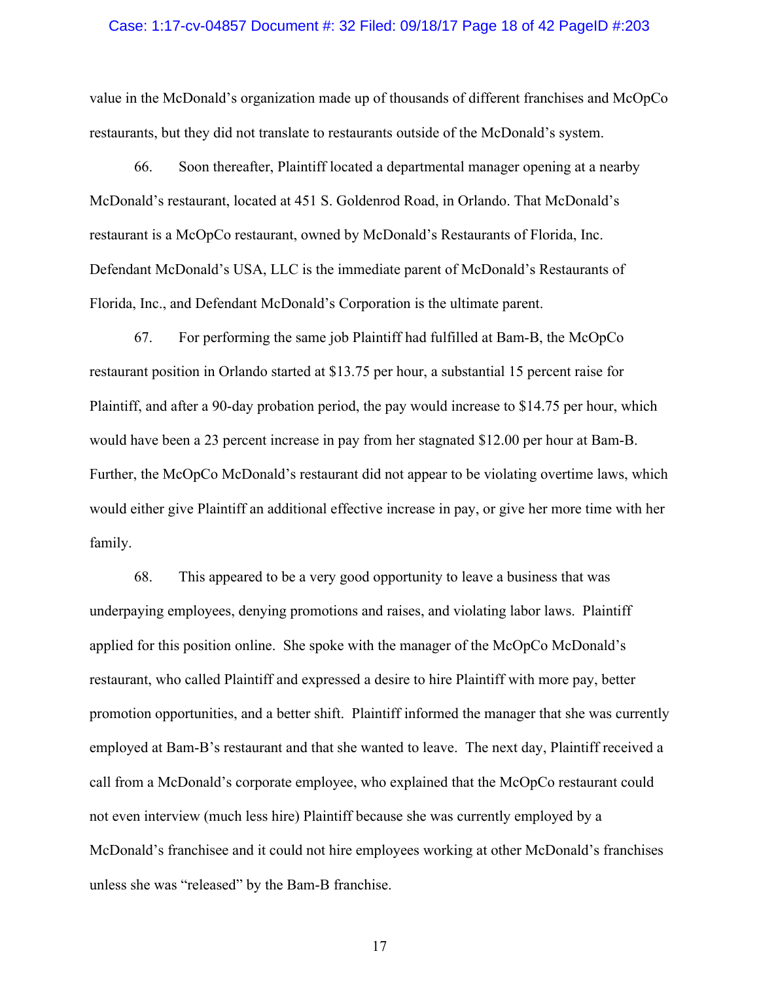#### Case: 1:17-cv-04857 Document #: 32 Filed: 09/18/17 Page 18 of 42 PageID #:203

value in the McDonald's organization made up of thousands of different franchises and McOpCo restaurants, but they did not translate to restaurants outside of the McDonald's system.

66. Soon thereafter, Plaintiff located a departmental manager opening at a nearby McDonald's restaurant, located at 451 S. Goldenrod Road, in Orlando. That McDonald's restaurant is a McOpCo restaurant, owned by McDonald's Restaurants of Florida, Inc. Defendant McDonald's USA, LLC is the immediate parent of McDonald's Restaurants of Florida, Inc., and Defendant McDonald's Corporation is the ultimate parent.

67. For performing the same job Plaintiff had fulfilled at Bam-B, the McOpCo restaurant position in Orlando started at \$13.75 per hour, a substantial 15 percent raise for Plaintiff, and after a 90-day probation period, the pay would increase to \$14.75 per hour, which would have been a 23 percent increase in pay from her stagnated \$12.00 per hour at Bam-B. Further, the McOpCo McDonald's restaurant did not appear to be violating overtime laws, which would either give Plaintiff an additional effective increase in pay, or give her more time with her family.

68. This appeared to be a very good opportunity to leave a business that was underpaying employees, denying promotions and raises, and violating labor laws. Plaintiff applied for this position online. She spoke with the manager of the McOpCo McDonald's restaurant, who called Plaintiff and expressed a desire to hire Plaintiff with more pay, better promotion opportunities, and a better shift. Plaintiff informed the manager that she was currently employed at Bam-B's restaurant and that she wanted to leave. The next day, Plaintiff received a call from a McDonald's corporate employee, who explained that the McOpCo restaurant could not even interview (much less hire) Plaintiff because she was currently employed by a McDonald's franchisee and it could not hire employees working at other McDonald's franchises unless she was "released" by the Bam-B franchise.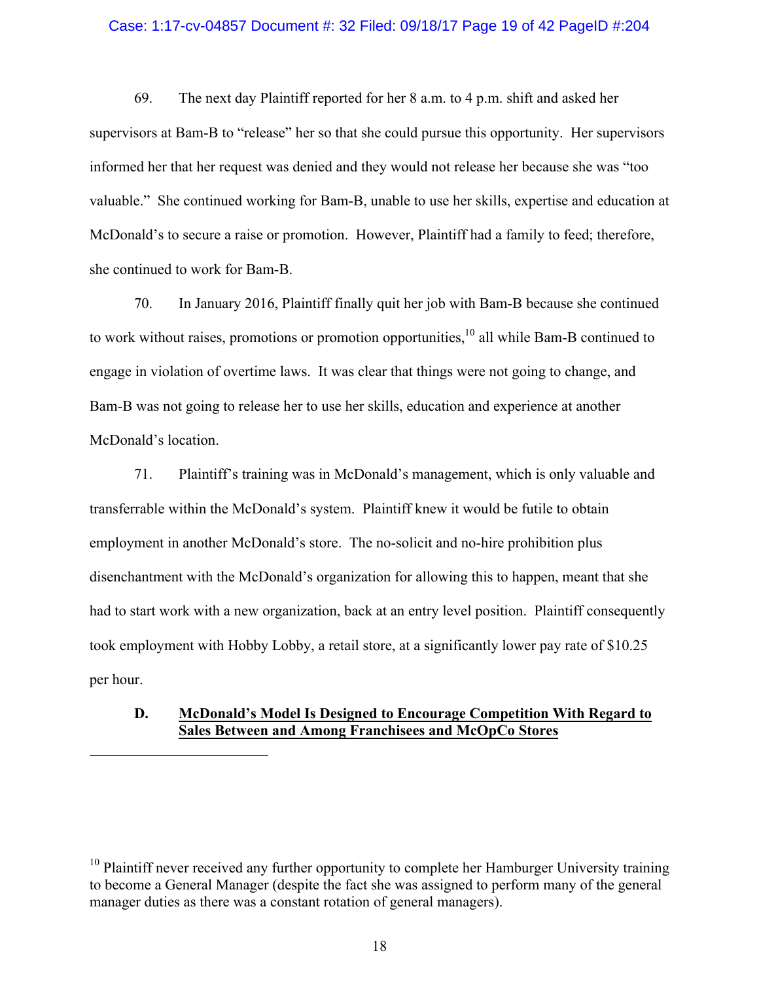#### Case: 1:17-cv-04857 Document #: 32 Filed: 09/18/17 Page 19 of 42 PageID #:204

69. The next day Plaintiff reported for her 8 a.m. to 4 p.m. shift and asked her supervisors at Bam-B to "release" her so that she could pursue this opportunity. Her supervisors informed her that her request was denied and they would not release her because she was "too valuable." She continued working for Bam-B, unable to use her skills, expertise and education at McDonald's to secure a raise or promotion. However, Plaintiff had a family to feed; therefore, she continued to work for Bam-B.

70. In January 2016, Plaintiff finally quit her job with Bam-B because she continued to work without raises, promotions or promotion opportunities, <sup>10</sup> all while Bam-B continued to engage in violation of overtime laws. It was clear that things were not going to change, and Bam-B was not going to release her to use her skills, education and experience at another McDonald's location.

71. Plaintiff's training was in McDonald's management, which is only valuable and transferrable within the McDonald's system. Plaintiff knew it would be futile to obtain employment in another McDonald's store. The no-solicit and no-hire prohibition plus disenchantment with the McDonald's organization for allowing this to happen, meant that she had to start work with a new organization, back at an entry level position. Plaintiff consequently took employment with Hobby Lobby, a retail store, at a significantly lower pay rate of \$10.25 per hour.

## **D. McDonald's Model Is Designed to Encourage Competition With Regard to Sales Between and Among Franchisees and McOpCo Stores**

<u>.</u>

 $10$  Plaintiff never received any further opportunity to complete her Hamburger University training to become a General Manager (despite the fact she was assigned to perform many of the general manager duties as there was a constant rotation of general managers).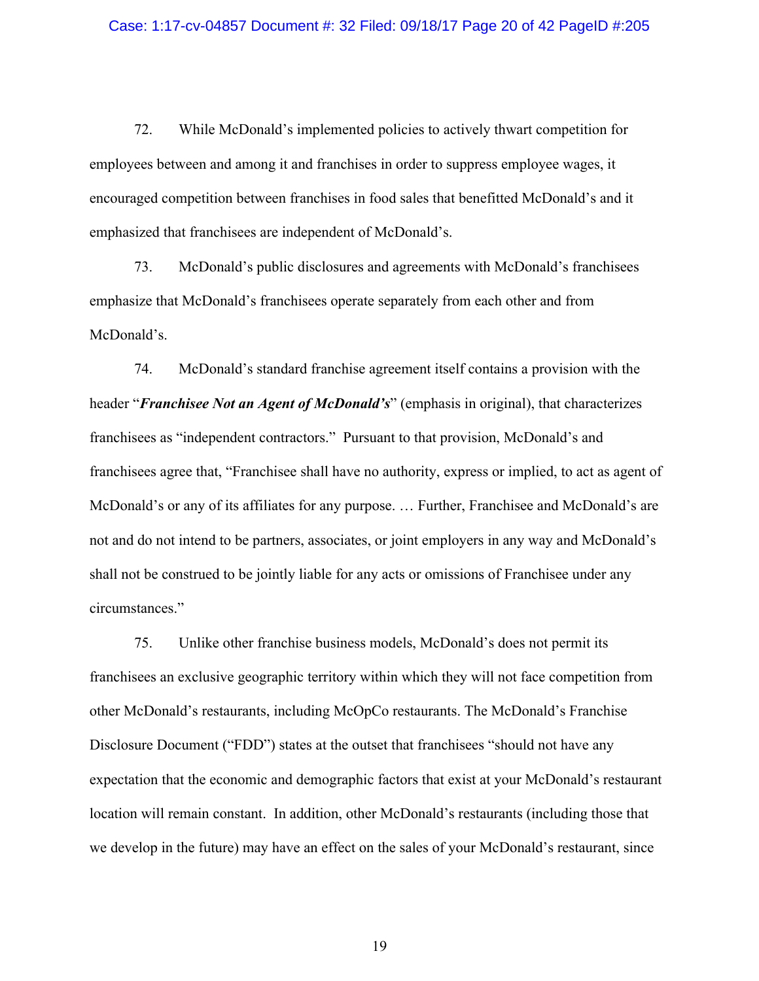#### Case: 1:17-cv-04857 Document #: 32 Filed: 09/18/17 Page 20 of 42 PageID #:205

72. While McDonald's implemented policies to actively thwart competition for employees between and among it and franchises in order to suppress employee wages, it encouraged competition between franchises in food sales that benefitted McDonald's and it emphasized that franchisees are independent of McDonald's.

73. McDonald's public disclosures and agreements with McDonald's franchisees emphasize that McDonald's franchisees operate separately from each other and from McDonald's.

74. McDonald's standard franchise agreement itself contains a provision with the header "*Franchisee Not an Agent of McDonald's*" (emphasis in original), that characterizes franchisees as "independent contractors." Pursuant to that provision, McDonald's and franchisees agree that, "Franchisee shall have no authority, express or implied, to act as agent of McDonald's or any of its affiliates for any purpose. … Further, Franchisee and McDonald's are not and do not intend to be partners, associates, or joint employers in any way and McDonald's shall not be construed to be jointly liable for any acts or omissions of Franchisee under any circumstances."

75. Unlike other franchise business models, McDonald's does not permit its franchisees an exclusive geographic territory within which they will not face competition from other McDonald's restaurants, including McOpCo restaurants. The McDonald's Franchise Disclosure Document ("FDD") states at the outset that franchisees "should not have any expectation that the economic and demographic factors that exist at your McDonald's restaurant location will remain constant. In addition, other McDonald's restaurants (including those that we develop in the future) may have an effect on the sales of your McDonald's restaurant, since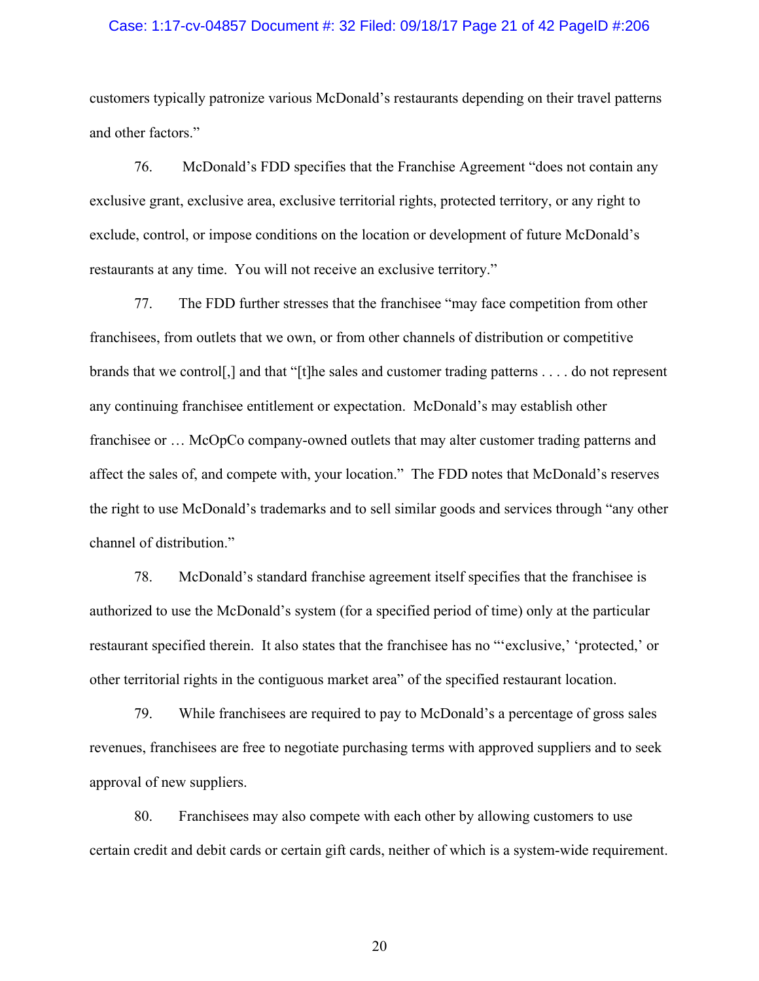#### Case: 1:17-cv-04857 Document #: 32 Filed: 09/18/17 Page 21 of 42 PageID #:206

customers typically patronize various McDonald's restaurants depending on their travel patterns and other factors."

76. McDonald's FDD specifies that the Franchise Agreement "does not contain any exclusive grant, exclusive area, exclusive territorial rights, protected territory, or any right to exclude, control, or impose conditions on the location or development of future McDonald's restaurants at any time. You will not receive an exclusive territory."

77. The FDD further stresses that the franchisee "may face competition from other franchisees, from outlets that we own, or from other channels of distribution or competitive brands that we control[,] and that "[t]he sales and customer trading patterns . . . . do not represent any continuing franchisee entitlement or expectation. McDonald's may establish other franchisee or … McOpCo company-owned outlets that may alter customer trading patterns and affect the sales of, and compete with, your location." The FDD notes that McDonald's reserves the right to use McDonald's trademarks and to sell similar goods and services through "any other channel of distribution."

78. McDonald's standard franchise agreement itself specifies that the franchisee is authorized to use the McDonald's system (for a specified period of time) only at the particular restaurant specified therein. It also states that the franchisee has no "'exclusive,' 'protected,' or other territorial rights in the contiguous market area" of the specified restaurant location.

79. While franchisees are required to pay to McDonald's a percentage of gross sales revenues, franchisees are free to negotiate purchasing terms with approved suppliers and to seek approval of new suppliers.

80. Franchisees may also compete with each other by allowing customers to use certain credit and debit cards or certain gift cards, neither of which is a system-wide requirement.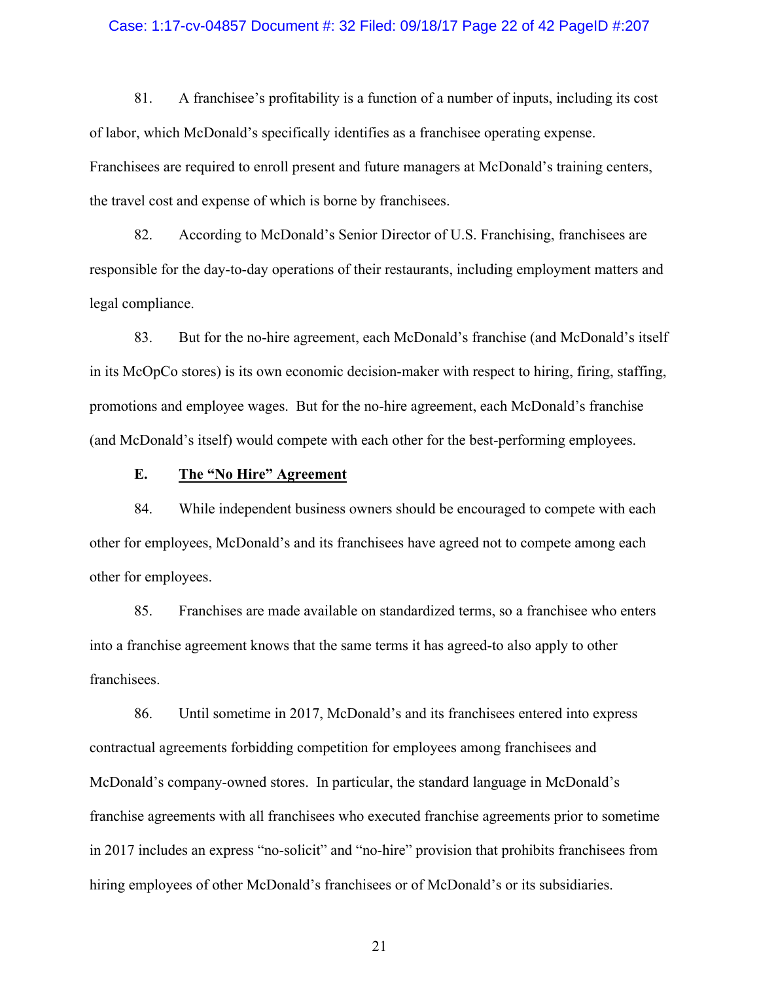#### Case: 1:17-cv-04857 Document #: 32 Filed: 09/18/17 Page 22 of 42 PageID #:207

81. A franchisee's profitability is a function of a number of inputs, including its cost of labor, which McDonald's specifically identifies as a franchisee operating expense. Franchisees are required to enroll present and future managers at McDonald's training centers, the travel cost and expense of which is borne by franchisees.

82. According to McDonald's Senior Director of U.S. Franchising, franchisees are responsible for the day-to-day operations of their restaurants, including employment matters and legal compliance.

83. But for the no-hire agreement, each McDonald's franchise (and McDonald's itself in its McOpCo stores) is its own economic decision-maker with respect to hiring, firing, staffing, promotions and employee wages. But for the no-hire agreement, each McDonald's franchise (and McDonald's itself) would compete with each other for the best-performing employees.

## **E. The "No Hire" Agreement**

84. While independent business owners should be encouraged to compete with each other for employees, McDonald's and its franchisees have agreed not to compete among each other for employees.

85. Franchises are made available on standardized terms, so a franchisee who enters into a franchise agreement knows that the same terms it has agreed-to also apply to other franchisees.

86. Until sometime in 2017, McDonald's and its franchisees entered into express contractual agreements forbidding competition for employees among franchisees and McDonald's company-owned stores. In particular, the standard language in McDonald's franchise agreements with all franchisees who executed franchise agreements prior to sometime in 2017 includes an express "no-solicit" and "no-hire" provision that prohibits franchisees from hiring employees of other McDonald's franchisees or of McDonald's or its subsidiaries.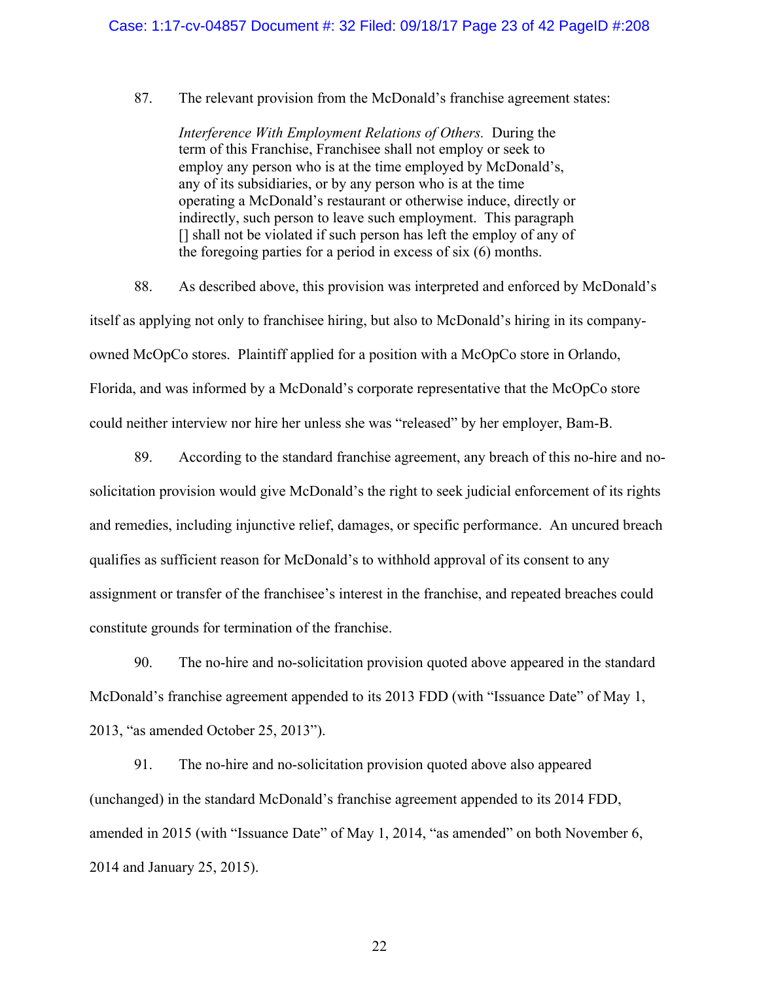87. The relevant provision from the McDonald's franchise agreement states:

*Interference With Employment Relations of Others.* During the term of this Franchise, Franchisee shall not employ or seek to employ any person who is at the time employed by McDonald's, any of its subsidiaries, or by any person who is at the time operating a McDonald's restaurant or otherwise induce, directly or indirectly, such person to leave such employment. This paragraph [] shall not be violated if such person has left the employ of any of the foregoing parties for a period in excess of six (6) months.

88. As described above, this provision was interpreted and enforced by McDonald's itself as applying not only to franchisee hiring, but also to McDonald's hiring in its companyowned McOpCo stores. Plaintiff applied for a position with a McOpCo store in Orlando, Florida, and was informed by a McDonald's corporate representative that the McOpCo store could neither interview nor hire her unless she was "released" by her employer, Bam-B.

89. According to the standard franchise agreement, any breach of this no-hire and nosolicitation provision would give McDonald's the right to seek judicial enforcement of its rights and remedies, including injunctive relief, damages, or specific performance. An uncured breach qualifies as sufficient reason for McDonald's to withhold approval of its consent to any assignment or transfer of the franchisee's interest in the franchise, and repeated breaches could constitute grounds for termination of the franchise.

90. The no-hire and no-solicitation provision quoted above appeared in the standard McDonald's franchise agreement appended to its 2013 FDD (with "Issuance Date" of May 1, 2013, "as amended October 25, 2013").

91. The no-hire and no-solicitation provision quoted above also appeared (unchanged) in the standard McDonald's franchise agreement appended to its 2014 FDD, amended in 2015 (with "Issuance Date" of May 1, 2014, "as amended" on both November 6, 2014 and January 25, 2015).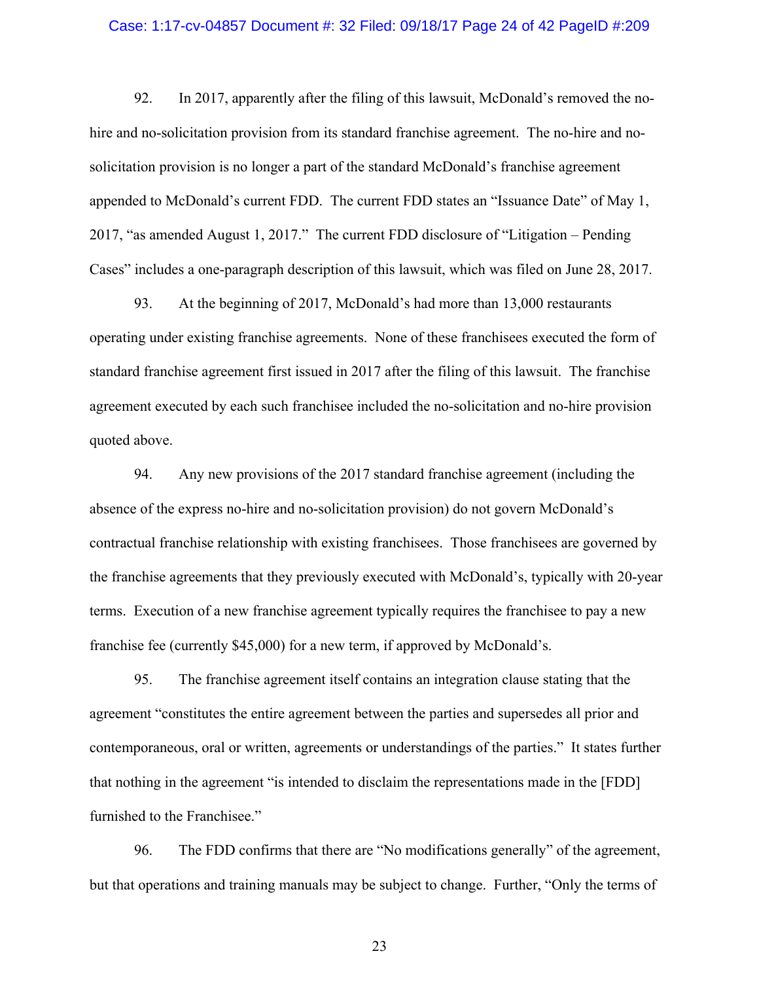#### Case: 1:17-cv-04857 Document #: 32 Filed: 09/18/17 Page 24 of 42 PageID #:209

92. In 2017, apparently after the filing of this lawsuit, McDonald's removed the nohire and no-solicitation provision from its standard franchise agreement. The no-hire and nosolicitation provision is no longer a part of the standard McDonald's franchise agreement appended to McDonald's current FDD. The current FDD states an "Issuance Date" of May 1, 2017, "as amended August 1, 2017." The current FDD disclosure of "Litigation – Pending Cases" includes a one-paragraph description of this lawsuit, which was filed on June 28, 2017.

93. At the beginning of 2017, McDonald's had more than 13,000 restaurants operating under existing franchise agreements. None of these franchisees executed the form of standard franchise agreement first issued in 2017 after the filing of this lawsuit. The franchise agreement executed by each such franchisee included the no-solicitation and no-hire provision quoted above.

94. Any new provisions of the 2017 standard franchise agreement (including the absence of the express no-hire and no-solicitation provision) do not govern McDonald's contractual franchise relationship with existing franchisees. Those franchisees are governed by the franchise agreements that they previously executed with McDonald's, typically with 20-year terms. Execution of a new franchise agreement typically requires the franchisee to pay a new franchise fee (currently \$45,000) for a new term, if approved by McDonald's.

95. The franchise agreement itself contains an integration clause stating that the agreement "constitutes the entire agreement between the parties and supersedes all prior and contemporaneous, oral or written, agreements or understandings of the parties." It states further that nothing in the agreement "is intended to disclaim the representations made in the [FDD] furnished to the Franchisee."

96. The FDD confirms that there are "No modifications generally" of the agreement, but that operations and training manuals may be subject to change. Further, "Only the terms of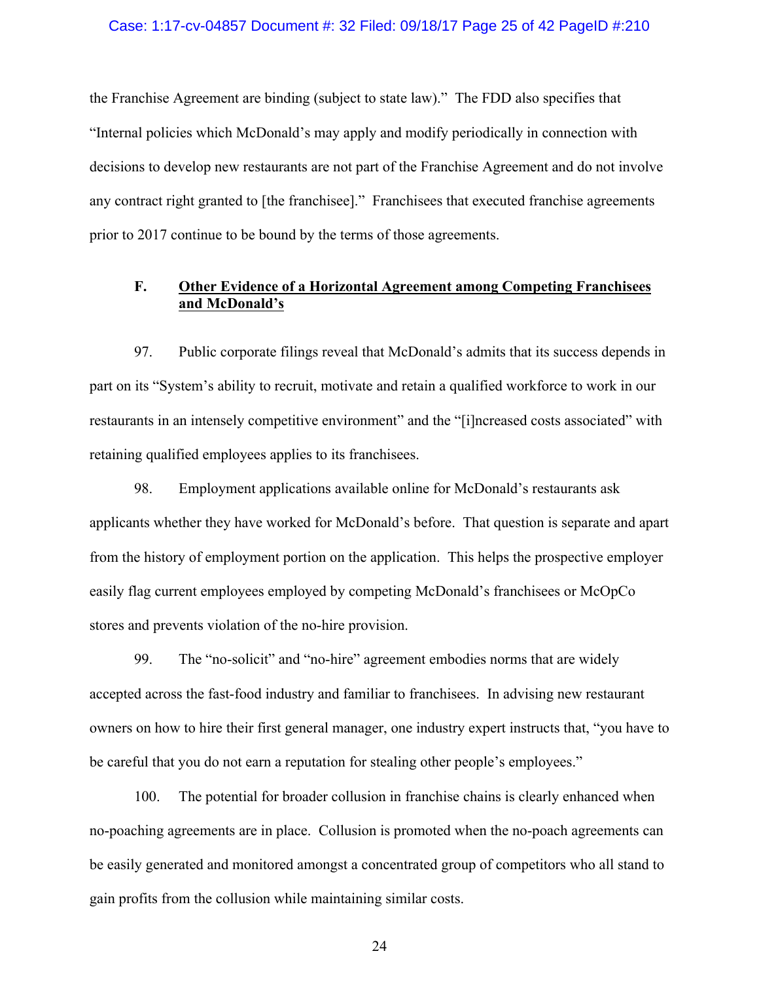#### Case: 1:17-cv-04857 Document #: 32 Filed: 09/18/17 Page 25 of 42 PageID #:210

the Franchise Agreement are binding (subject to state law)." The FDD also specifies that "Internal policies which McDonald's may apply and modify periodically in connection with decisions to develop new restaurants are not part of the Franchise Agreement and do not involve any contract right granted to [the franchisee]." Franchisees that executed franchise agreements prior to 2017 continue to be bound by the terms of those agreements.

## **F. Other Evidence of a Horizontal Agreement among Competing Franchisees and McDonald's**

97. Public corporate filings reveal that McDonald's admits that its success depends in part on its "System's ability to recruit, motivate and retain a qualified workforce to work in our restaurants in an intensely competitive environment" and the "[i]ncreased costs associated" with retaining qualified employees applies to its franchisees.

98. Employment applications available online for McDonald's restaurants ask applicants whether they have worked for McDonald's before. That question is separate and apart from the history of employment portion on the application. This helps the prospective employer easily flag current employees employed by competing McDonald's franchisees or McOpCo stores and prevents violation of the no-hire provision.

99. The "no-solicit" and "no-hire" agreement embodies norms that are widely accepted across the fast-food industry and familiar to franchisees. In advising new restaurant owners on how to hire their first general manager, one industry expert instructs that, "you have to be careful that you do not earn a reputation for stealing other people's employees."

100. The potential for broader collusion in franchise chains is clearly enhanced when no-poaching agreements are in place. Collusion is promoted when the no-poach agreements can be easily generated and monitored amongst a concentrated group of competitors who all stand to gain profits from the collusion while maintaining similar costs.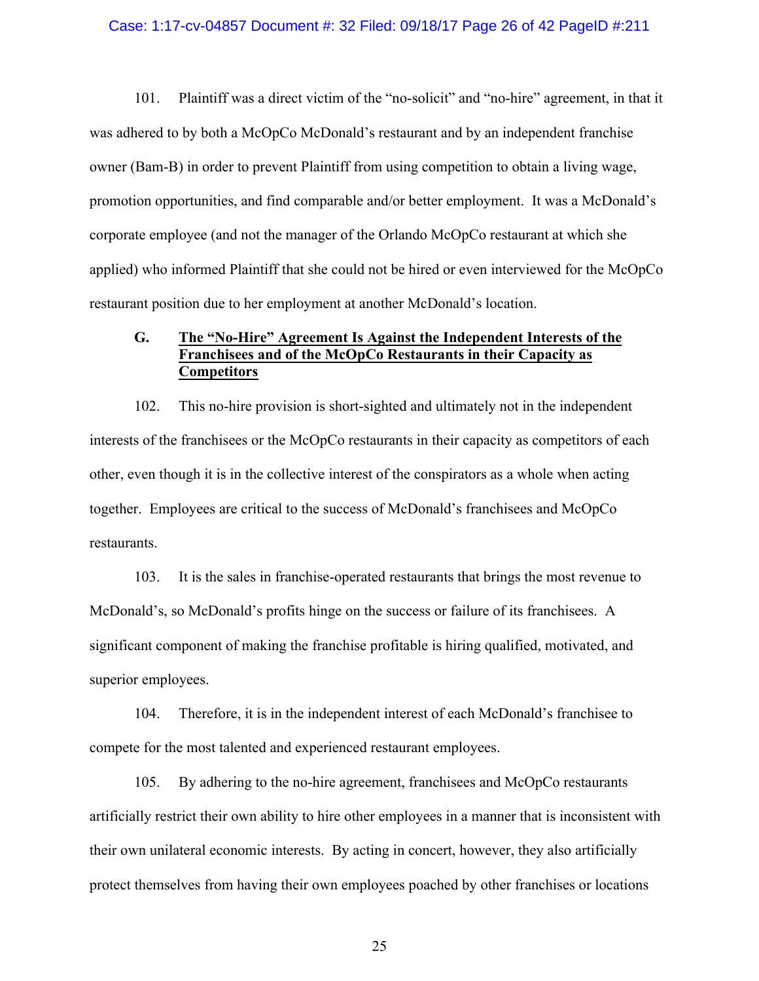#### Case: 1:17-cv-04857 Document #: 32 Filed: 09/18/17 Page 26 of 42 PageID #:211

101. Plaintiff was a direct victim of the "no-solicit" and "no-hire" agreement, in that it was adhered to by both a McOpCo McDonald's restaurant and by an independent franchise owner (Bam-B) in order to prevent Plaintiff from using competition to obtain a living wage, promotion opportunities, and find comparable and/or better employment. It was a McDonald's corporate employee (and not the manager of the Orlando McOpCo restaurant at which she applied) who informed Plaintiff that she could not be hired or even interviewed for the McOpCo restaurant position due to her employment at another McDonald's location.

## **G. The "No-Hire" Agreement Is Against the Independent Interests of the Franchisees and of the McOpCo Restaurants in their Capacity as Competitors**

102. This no-hire provision is short-sighted and ultimately not in the independent interests of the franchisees or the McOpCo restaurants in their capacity as competitors of each other, even though it is in the collective interest of the conspirators as a whole when acting together. Employees are critical to the success of McDonald's franchisees and McOpCo restaurants.

103. It is the sales in franchise-operated restaurants that brings the most revenue to McDonald's, so McDonald's profits hinge on the success or failure of its franchisees. A significant component of making the franchise profitable is hiring qualified, motivated, and superior employees.

104. Therefore, it is in the independent interest of each McDonald's franchisee to compete for the most talented and experienced restaurant employees.

105. By adhering to the no-hire agreement, franchisees and McOpCo restaurants artificially restrict their own ability to hire other employees in a manner that is inconsistent with their own unilateral economic interests. By acting in concert, however, they also artificially protect themselves from having their own employees poached by other franchises or locations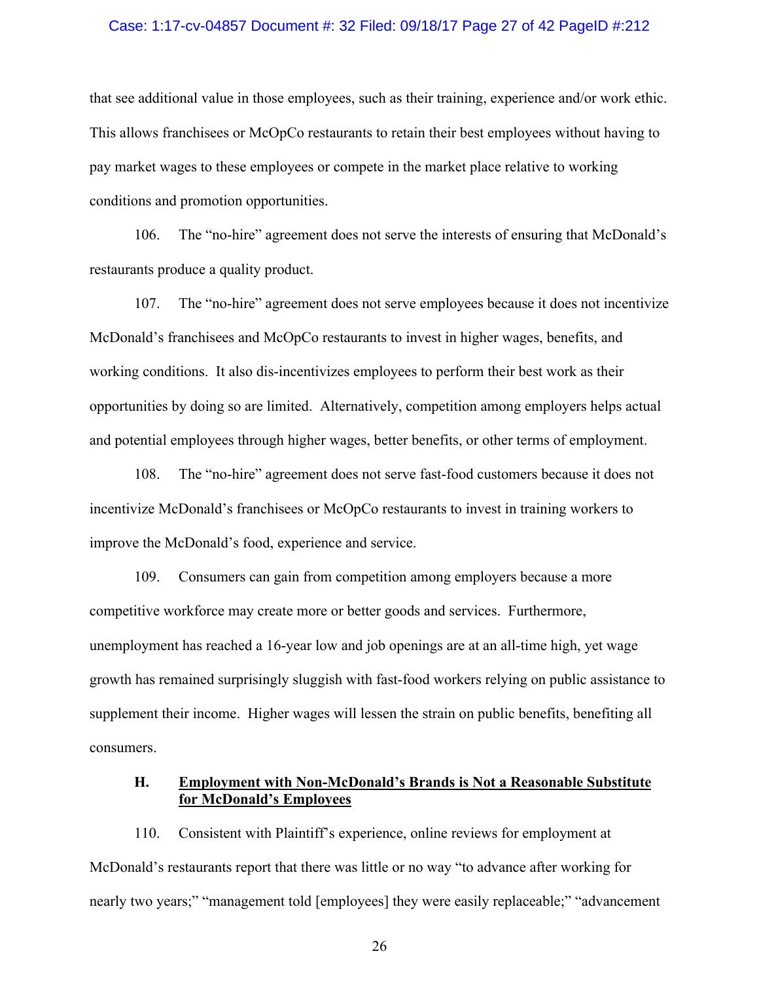#### Case: 1:17-cv-04857 Document #: 32 Filed: 09/18/17 Page 27 of 42 PageID #:212

that see additional value in those employees, such as their training, experience and/or work ethic. This allows franchisees or McOpCo restaurants to retain their best employees without having to pay market wages to these employees or compete in the market place relative to working conditions and promotion opportunities.

106. The "no-hire" agreement does not serve the interests of ensuring that McDonald's restaurants produce a quality product.

107. The "no-hire" agreement does not serve employees because it does not incentivize McDonald's franchisees and McOpCo restaurants to invest in higher wages, benefits, and working conditions. It also dis-incentivizes employees to perform their best work as their opportunities by doing so are limited. Alternatively, competition among employers helps actual and potential employees through higher wages, better benefits, or other terms of employment.

108. The "no-hire" agreement does not serve fast-food customers because it does not incentivize McDonald's franchisees or McOpCo restaurants to invest in training workers to improve the McDonald's food, experience and service.

109. Consumers can gain from competition among employers because a more competitive workforce may create more or better goods and services. Furthermore, unemployment has reached a 16-year low and job openings are at an all-time high, yet wage growth has remained surprisingly sluggish with fast-food workers relying on public assistance to supplement their income. Higher wages will lessen the strain on public benefits, benefiting all consumers.

## **H. Employment with Non-McDonald's Brands is Not a Reasonable Substitute for McDonald's Employees**

110. Consistent with Plaintiff's experience, online reviews for employment at McDonald's restaurants report that there was little or no way "to advance after working for nearly two years;" "management told [employees] they were easily replaceable;" "advancement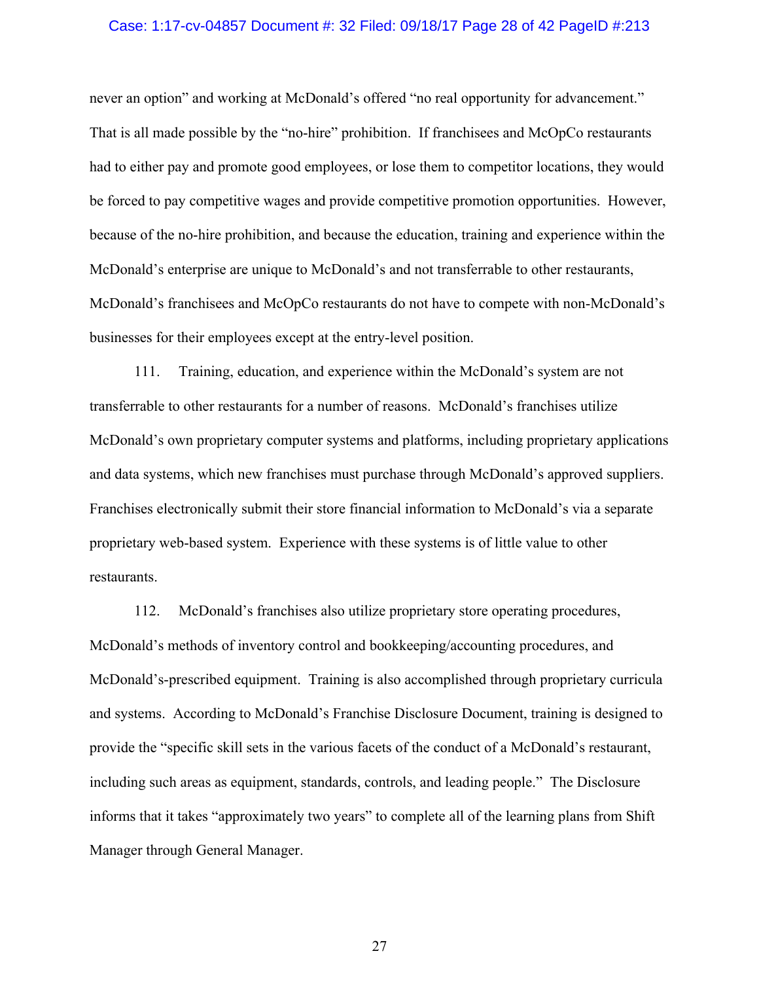#### Case: 1:17-cv-04857 Document #: 32 Filed: 09/18/17 Page 28 of 42 PageID #:213

never an option" and working at McDonald's offered "no real opportunity for advancement." That is all made possible by the "no-hire" prohibition. If franchisees and McOpCo restaurants had to either pay and promote good employees, or lose them to competitor locations, they would be forced to pay competitive wages and provide competitive promotion opportunities. However, because of the no-hire prohibition, and because the education, training and experience within the McDonald's enterprise are unique to McDonald's and not transferrable to other restaurants, McDonald's franchisees and McOpCo restaurants do not have to compete with non-McDonald's businesses for their employees except at the entry-level position.

111. Training, education, and experience within the McDonald's system are not transferrable to other restaurants for a number of reasons. McDonald's franchises utilize McDonald's own proprietary computer systems and platforms, including proprietary applications and data systems, which new franchises must purchase through McDonald's approved suppliers. Franchises electronically submit their store financial information to McDonald's via a separate proprietary web-based system. Experience with these systems is of little value to other restaurants.

112. McDonald's franchises also utilize proprietary store operating procedures, McDonald's methods of inventory control and bookkeeping/accounting procedures, and McDonald's-prescribed equipment. Training is also accomplished through proprietary curricula and systems. According to McDonald's Franchise Disclosure Document, training is designed to provide the "specific skill sets in the various facets of the conduct of a McDonald's restaurant, including such areas as equipment, standards, controls, and leading people." The Disclosure informs that it takes "approximately two years" to complete all of the learning plans from Shift Manager through General Manager.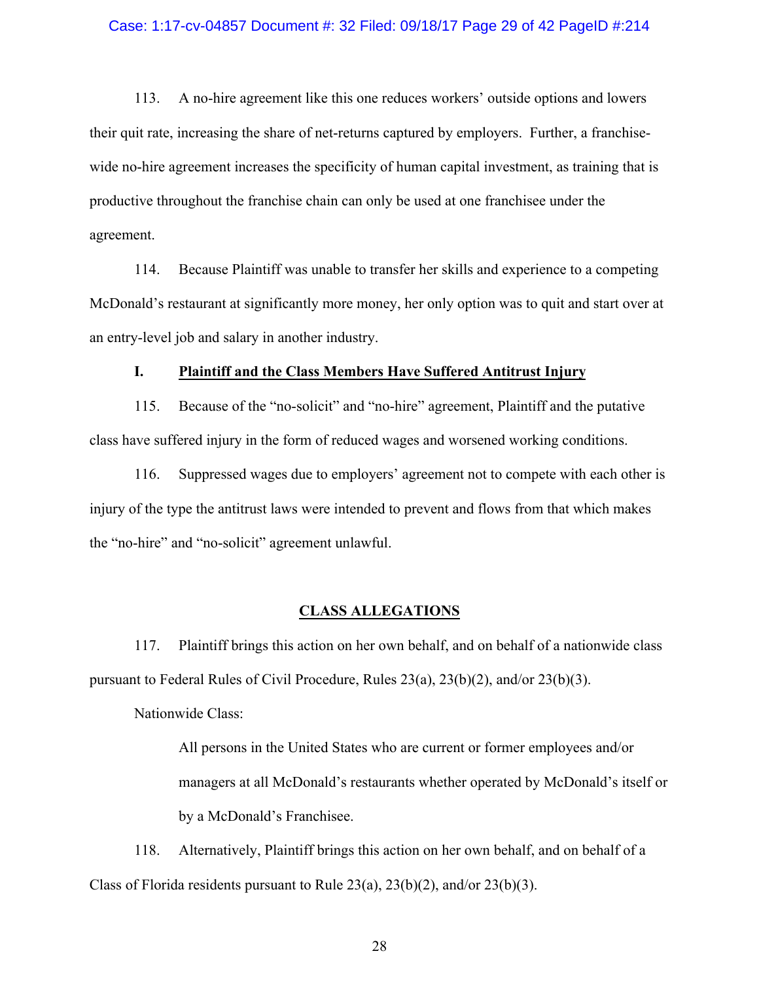#### Case: 1:17-cv-04857 Document #: 32 Filed: 09/18/17 Page 29 of 42 PageID #:214

113. A no-hire agreement like this one reduces workers' outside options and lowers their quit rate, increasing the share of net-returns captured by employers. Further, a franchisewide no-hire agreement increases the specificity of human capital investment, as training that is productive throughout the franchise chain can only be used at one franchisee under the agreement.

114. Because Plaintiff was unable to transfer her skills and experience to a competing McDonald's restaurant at significantly more money, her only option was to quit and start over at an entry-level job and salary in another industry.

## **I. Plaintiff and the Class Members Have Suffered Antitrust Injury**

115. Because of the "no-solicit" and "no-hire" agreement, Plaintiff and the putative class have suffered injury in the form of reduced wages and worsened working conditions.

116. Suppressed wages due to employers' agreement not to compete with each other is injury of the type the antitrust laws were intended to prevent and flows from that which makes the "no-hire" and "no-solicit" agreement unlawful.

## **CLASS ALLEGATIONS**

117. Plaintiff brings this action on her own behalf, and on behalf of a nationwide class pursuant to Federal Rules of Civil Procedure, Rules 23(a), 23(b)(2), and/or 23(b)(3).

Nationwide Class:

All persons in the United States who are current or former employees and/or managers at all McDonald's restaurants whether operated by McDonald's itself or by a McDonald's Franchisee.

118. Alternatively, Plaintiff brings this action on her own behalf, and on behalf of a Class of Florida residents pursuant to Rule  $23(a)$ ,  $23(b)(2)$ , and/or  $23(b)(3)$ .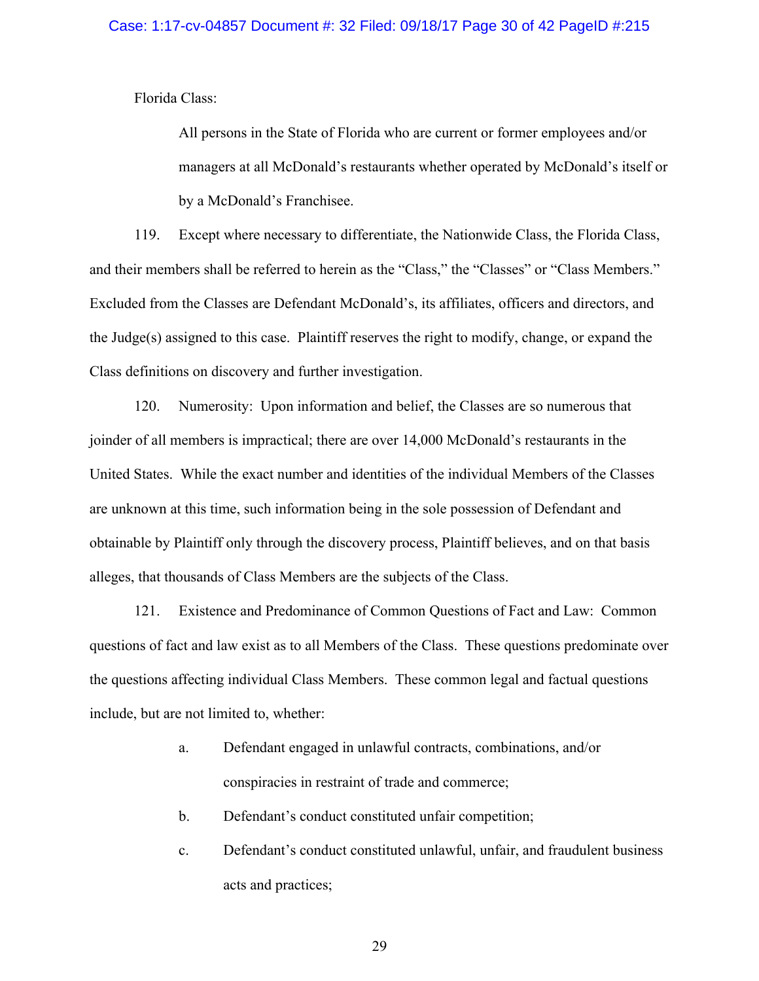Florida Class:

All persons in the State of Florida who are current or former employees and/or managers at all McDonald's restaurants whether operated by McDonald's itself or by a McDonald's Franchisee.

119. Except where necessary to differentiate, the Nationwide Class, the Florida Class, and their members shall be referred to herein as the "Class," the "Classes" or "Class Members." Excluded from the Classes are Defendant McDonald's, its affiliates, officers and directors, and the Judge(s) assigned to this case. Plaintiff reserves the right to modify, change, or expand the Class definitions on discovery and further investigation.

120. Numerosity: Upon information and belief, the Classes are so numerous that joinder of all members is impractical; there are over 14,000 McDonald's restaurants in the United States. While the exact number and identities of the individual Members of the Classes are unknown at this time, such information being in the sole possession of Defendant and obtainable by Plaintiff only through the discovery process, Plaintiff believes, and on that basis alleges, that thousands of Class Members are the subjects of the Class.

121. Existence and Predominance of Common Questions of Fact and Law: Common questions of fact and law exist as to all Members of the Class. These questions predominate over the questions affecting individual Class Members. These common legal and factual questions include, but are not limited to, whether:

- a. Defendant engaged in unlawful contracts, combinations, and/or conspiracies in restraint of trade and commerce;
- b. Defendant's conduct constituted unfair competition;
- c. Defendant's conduct constituted unlawful, unfair, and fraudulent business acts and practices;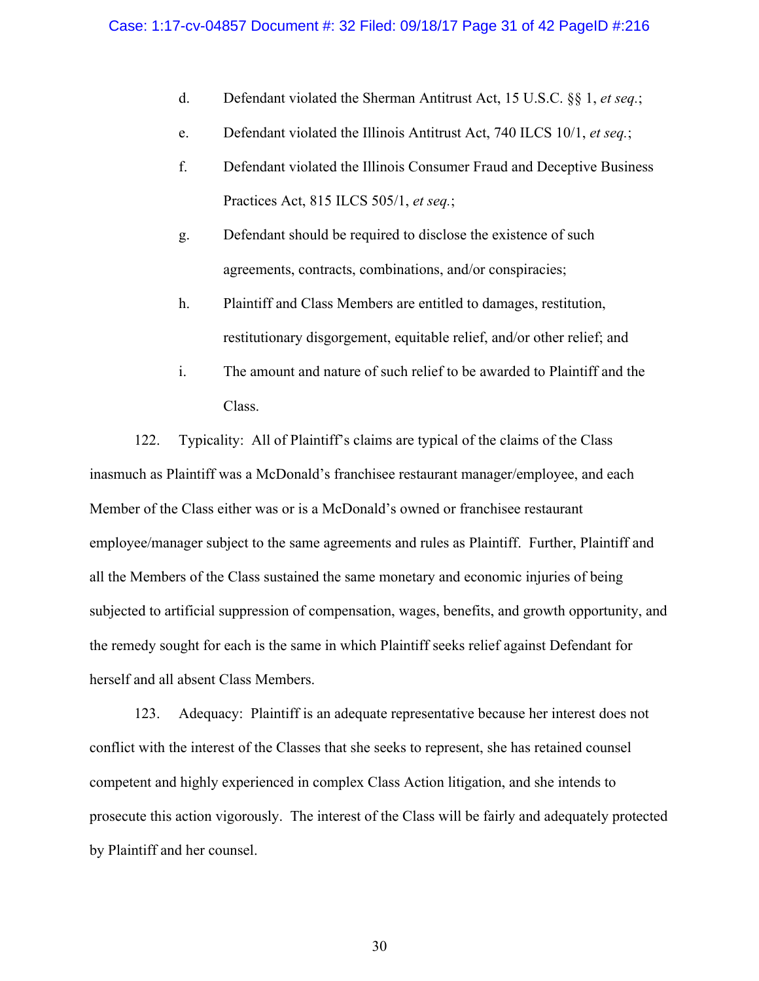- d. Defendant violated the Sherman Antitrust Act, 15 U.S.C. §§ 1, *et seq.*;
- e. Defendant violated the Illinois Antitrust Act, 740 ILCS 10/1, *et seq.*;
- f. Defendant violated the Illinois Consumer Fraud and Deceptive Business Practices Act, 815 ILCS 505/1, *et seq.*;
- g. Defendant should be required to disclose the existence of such agreements, contracts, combinations, and/or conspiracies;
- h. Plaintiff and Class Members are entitled to damages, restitution, restitutionary disgorgement, equitable relief, and/or other relief; and
- i. The amount and nature of such relief to be awarded to Plaintiff and the Class.

122. Typicality: All of Plaintiff's claims are typical of the claims of the Class inasmuch as Plaintiff was a McDonald's franchisee restaurant manager/employee, and each Member of the Class either was or is a McDonald's owned or franchisee restaurant employee/manager subject to the same agreements and rules as Plaintiff. Further, Plaintiff and all the Members of the Class sustained the same monetary and economic injuries of being subjected to artificial suppression of compensation, wages, benefits, and growth opportunity, and the remedy sought for each is the same in which Plaintiff seeks relief against Defendant for herself and all absent Class Members.

123. Adequacy: Plaintiff is an adequate representative because her interest does not conflict with the interest of the Classes that she seeks to represent, she has retained counsel competent and highly experienced in complex Class Action litigation, and she intends to prosecute this action vigorously. The interest of the Class will be fairly and adequately protected by Plaintiff and her counsel.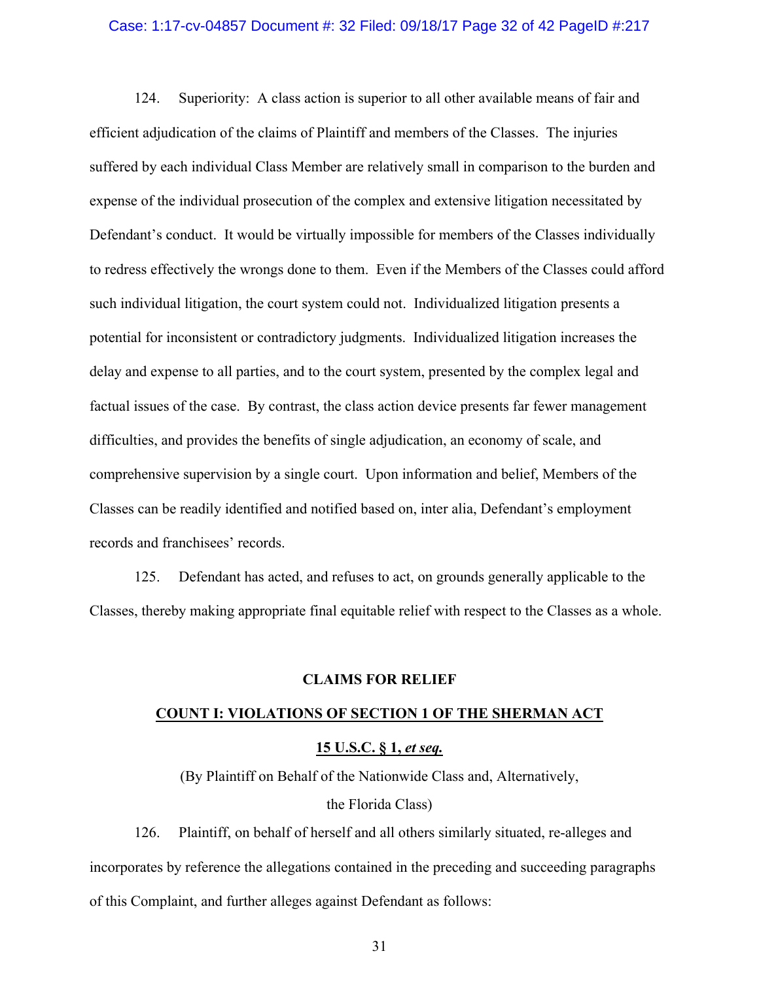#### Case: 1:17-cv-04857 Document #: 32 Filed: 09/18/17 Page 32 of 42 PageID #:217

124. Superiority: A class action is superior to all other available means of fair and efficient adjudication of the claims of Plaintiff and members of the Classes. The injuries suffered by each individual Class Member are relatively small in comparison to the burden and expense of the individual prosecution of the complex and extensive litigation necessitated by Defendant's conduct. It would be virtually impossible for members of the Classes individually to redress effectively the wrongs done to them. Even if the Members of the Classes could afford such individual litigation, the court system could not. Individualized litigation presents a potential for inconsistent or contradictory judgments. Individualized litigation increases the delay and expense to all parties, and to the court system, presented by the complex legal and factual issues of the case. By contrast, the class action device presents far fewer management difficulties, and provides the benefits of single adjudication, an economy of scale, and comprehensive supervision by a single court. Upon information and belief, Members of the Classes can be readily identified and notified based on, inter alia, Defendant's employment records and franchisees' records.

125. Defendant has acted, and refuses to act, on grounds generally applicable to the Classes, thereby making appropriate final equitable relief with respect to the Classes as a whole.

#### **CLAIMS FOR RELIEF**

# **COUNT I: VIOLATIONS OF SECTION 1 OF THE SHERMAN ACT 15 U.S.C. § 1,** *et seq.*

(By Plaintiff on Behalf of the Nationwide Class and, Alternatively, the Florida Class)

126. Plaintiff, on behalf of herself and all others similarly situated, re-alleges and incorporates by reference the allegations contained in the preceding and succeeding paragraphs of this Complaint, and further alleges against Defendant as follows: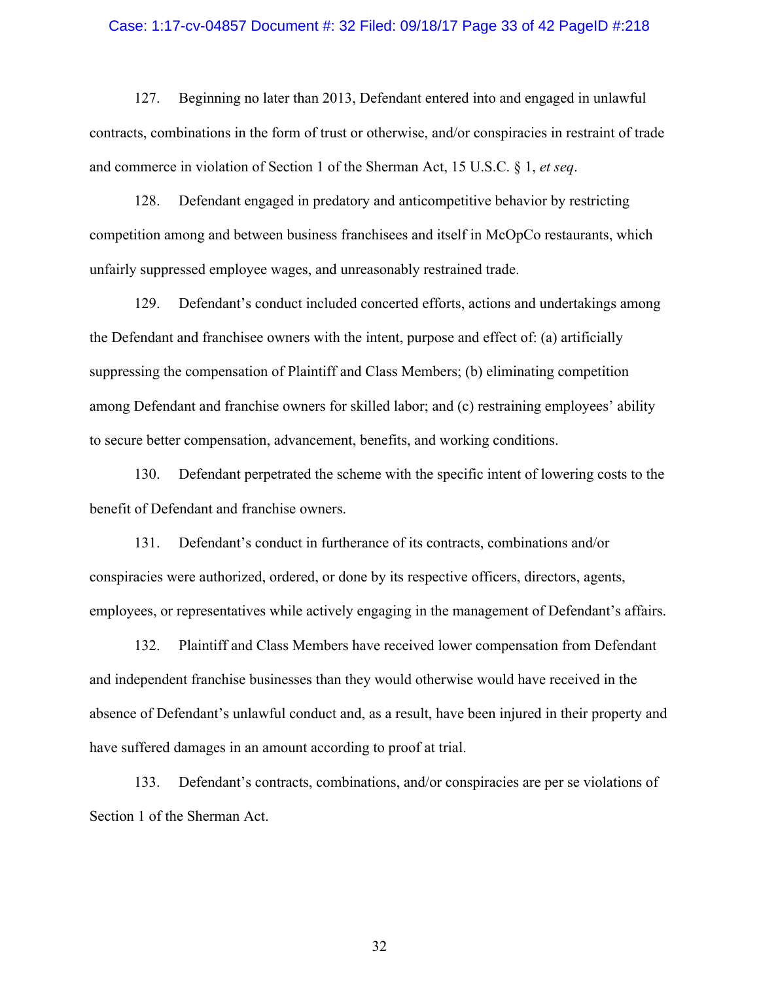#### Case: 1:17-cv-04857 Document #: 32 Filed: 09/18/17 Page 33 of 42 PageID #:218

127. Beginning no later than 2013, Defendant entered into and engaged in unlawful contracts, combinations in the form of trust or otherwise, and/or conspiracies in restraint of trade and commerce in violation of Section 1 of the Sherman Act, 15 U.S.C. § 1, *et seq*.

128. Defendant engaged in predatory and anticompetitive behavior by restricting competition among and between business franchisees and itself in McOpCo restaurants, which unfairly suppressed employee wages, and unreasonably restrained trade.

129. Defendant's conduct included concerted efforts, actions and undertakings among the Defendant and franchisee owners with the intent, purpose and effect of: (a) artificially suppressing the compensation of Plaintiff and Class Members; (b) eliminating competition among Defendant and franchise owners for skilled labor; and (c) restraining employees' ability to secure better compensation, advancement, benefits, and working conditions.

130. Defendant perpetrated the scheme with the specific intent of lowering costs to the benefit of Defendant and franchise owners.

131. Defendant's conduct in furtherance of its contracts, combinations and/or conspiracies were authorized, ordered, or done by its respective officers, directors, agents, employees, or representatives while actively engaging in the management of Defendant's affairs.

132. Plaintiff and Class Members have received lower compensation from Defendant and independent franchise businesses than they would otherwise would have received in the absence of Defendant's unlawful conduct and, as a result, have been injured in their property and have suffered damages in an amount according to proof at trial.

133. Defendant's contracts, combinations, and/or conspiracies are per se violations of Section 1 of the Sherman Act.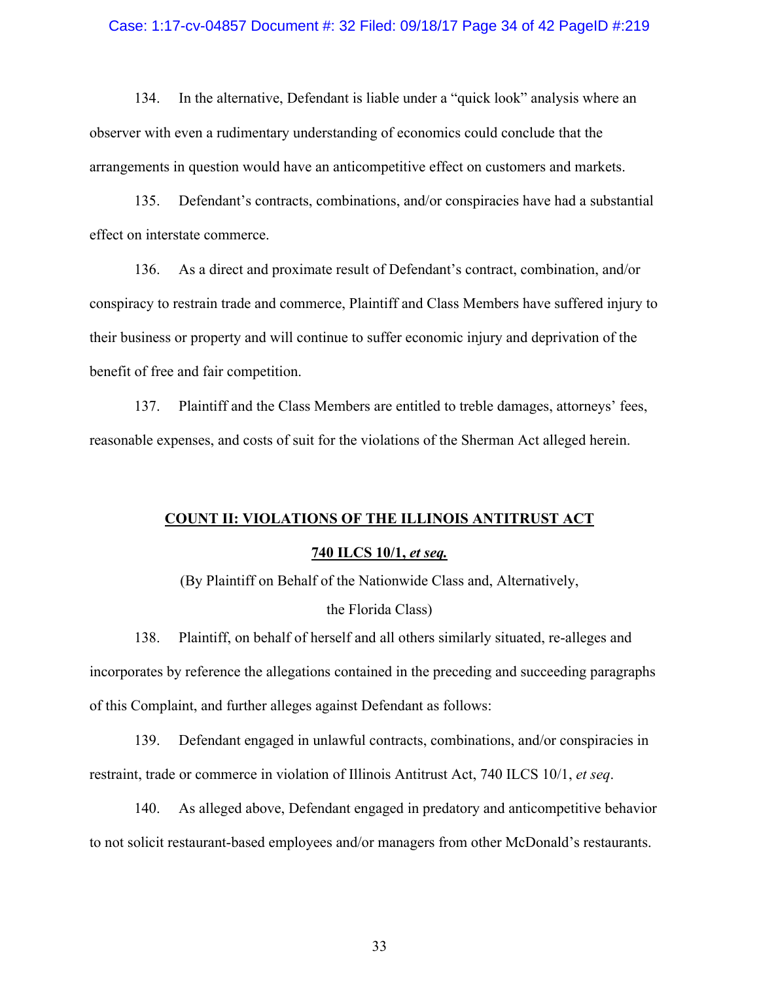#### Case: 1:17-cv-04857 Document #: 32 Filed: 09/18/17 Page 34 of 42 PageID #:219

134. In the alternative, Defendant is liable under a "quick look" analysis where an observer with even a rudimentary understanding of economics could conclude that the arrangements in question would have an anticompetitive effect on customers and markets.

135. Defendant's contracts, combinations, and/or conspiracies have had a substantial effect on interstate commerce.

136. As a direct and proximate result of Defendant's contract, combination, and/or conspiracy to restrain trade and commerce, Plaintiff and Class Members have suffered injury to their business or property and will continue to suffer economic injury and deprivation of the benefit of free and fair competition.

137. Plaintiff and the Class Members are entitled to treble damages, attorneys' fees, reasonable expenses, and costs of suit for the violations of the Sherman Act alleged herein.

## **COUNT II: VIOLATIONS OF THE ILLINOIS ANTITRUST ACT**

## **740 ILCS 10/1,** *et seq.*

(By Plaintiff on Behalf of the Nationwide Class and, Alternatively, the Florida Class)

138. Plaintiff, on behalf of herself and all others similarly situated, re-alleges and incorporates by reference the allegations contained in the preceding and succeeding paragraphs of this Complaint, and further alleges against Defendant as follows:

139. Defendant engaged in unlawful contracts, combinations, and/or conspiracies in restraint, trade or commerce in violation of Illinois Antitrust Act, 740 ILCS 10/1, *et seq*.

140. As alleged above, Defendant engaged in predatory and anticompetitive behavior to not solicit restaurant-based employees and/or managers from other McDonald's restaurants.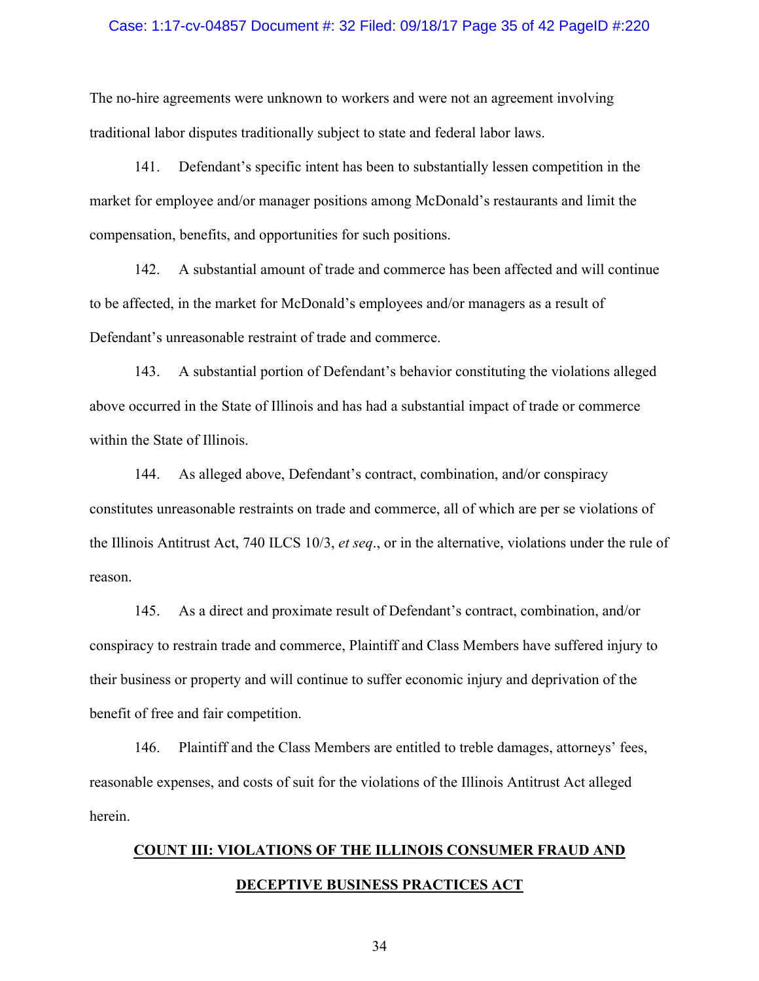#### Case: 1:17-cv-04857 Document #: 32 Filed: 09/18/17 Page 35 of 42 PageID #:220

The no-hire agreements were unknown to workers and were not an agreement involving traditional labor disputes traditionally subject to state and federal labor laws.

141. Defendant's specific intent has been to substantially lessen competition in the market for employee and/or manager positions among McDonald's restaurants and limit the compensation, benefits, and opportunities for such positions.

142. A substantial amount of trade and commerce has been affected and will continue to be affected, in the market for McDonald's employees and/or managers as a result of Defendant's unreasonable restraint of trade and commerce.

143. A substantial portion of Defendant's behavior constituting the violations alleged above occurred in the State of Illinois and has had a substantial impact of trade or commerce within the State of Illinois.

144. As alleged above, Defendant's contract, combination, and/or conspiracy constitutes unreasonable restraints on trade and commerce, all of which are per se violations of the Illinois Antitrust Act, 740 ILCS 10/3, *et seq*., or in the alternative, violations under the rule of reason.

145. As a direct and proximate result of Defendant's contract, combination, and/or conspiracy to restrain trade and commerce, Plaintiff and Class Members have suffered injury to their business or property and will continue to suffer economic injury and deprivation of the benefit of free and fair competition.

146. Plaintiff and the Class Members are entitled to treble damages, attorneys' fees, reasonable expenses, and costs of suit for the violations of the Illinois Antitrust Act alleged herein.

# **COUNT III: VIOLATIONS OF THE ILLINOIS CONSUMER FRAUD AND DECEPTIVE BUSINESS PRACTICES ACT**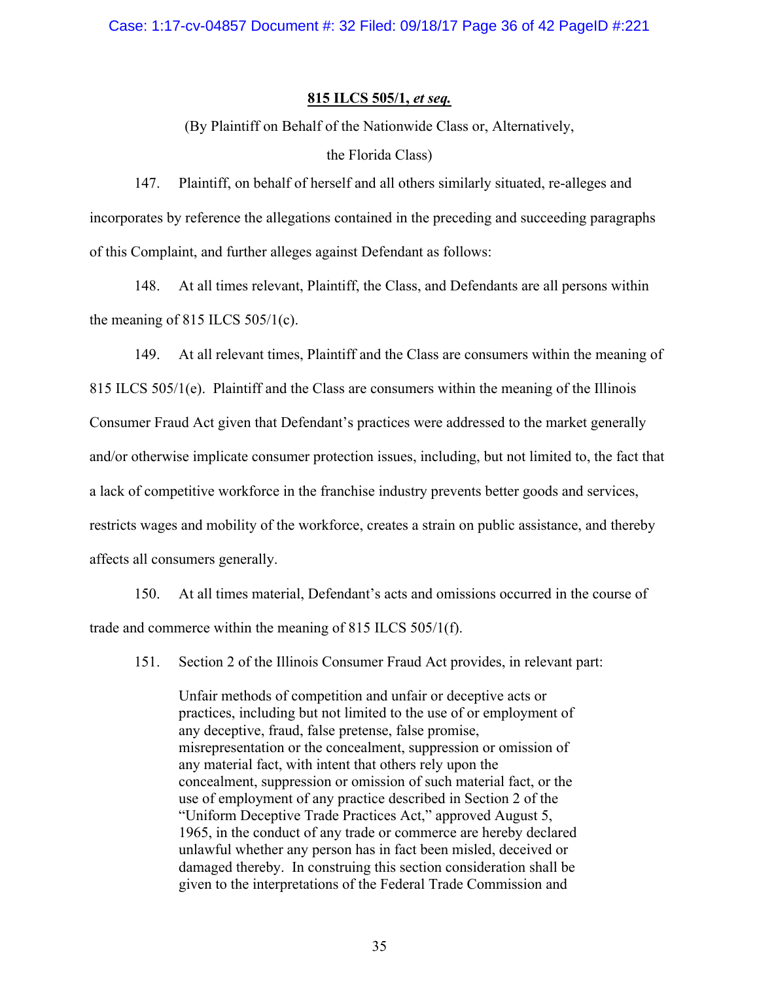## **815 ILCS 505/1,** *et seq.*

(By Plaintiff on Behalf of the Nationwide Class or, Alternatively,

## the Florida Class)

147. Plaintiff, on behalf of herself and all others similarly situated, re-alleges and incorporates by reference the allegations contained in the preceding and succeeding paragraphs of this Complaint, and further alleges against Defendant as follows:

148. At all times relevant, Plaintiff, the Class, and Defendants are all persons within the meaning of 815 ILCS  $505/1(c)$ .

149. At all relevant times, Plaintiff and the Class are consumers within the meaning of 815 ILCS 505/1(e). Plaintiff and the Class are consumers within the meaning of the Illinois Consumer Fraud Act given that Defendant's practices were addressed to the market generally and/or otherwise implicate consumer protection issues, including, but not limited to, the fact that a lack of competitive workforce in the franchise industry prevents better goods and services, restricts wages and mobility of the workforce, creates a strain on public assistance, and thereby affects all consumers generally.

150. At all times material, Defendant's acts and omissions occurred in the course of trade and commerce within the meaning of 815 ILCS 505/1(f).

151. Section 2 of the Illinois Consumer Fraud Act provides, in relevant part:

Unfair methods of competition and unfair or deceptive acts or practices, including but not limited to the use of or employment of any deceptive, fraud, false pretense, false promise, misrepresentation or the concealment, suppression or omission of any material fact, with intent that others rely upon the concealment, suppression or omission of such material fact, or the use of employment of any practice described in Section 2 of the "Uniform Deceptive Trade Practices Act," approved August 5, 1965, in the conduct of any trade or commerce are hereby declared unlawful whether any person has in fact been misled, deceived or damaged thereby. In construing this section consideration shall be given to the interpretations of the Federal Trade Commission and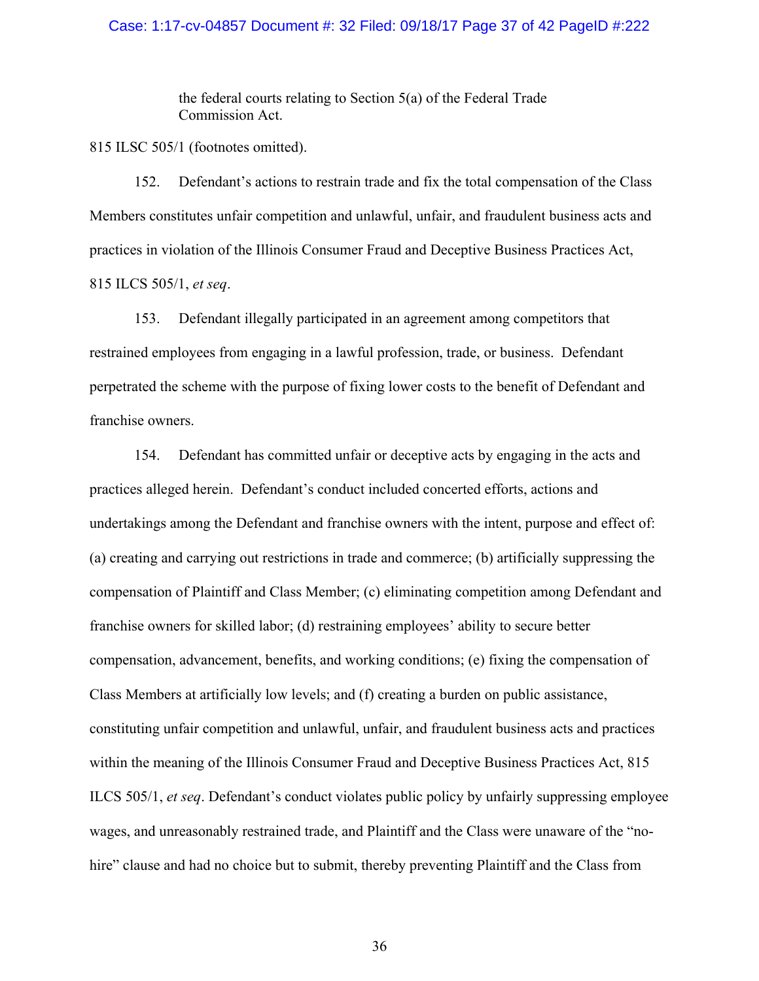#### Case: 1:17-cv-04857 Document #: 32 Filed: 09/18/17 Page 37 of 42 PageID #:222

the federal courts relating to Section 5(a) of the Federal Trade Commission Act.

815 ILSC 505/1 (footnotes omitted).

152. Defendant's actions to restrain trade and fix the total compensation of the Class Members constitutes unfair competition and unlawful, unfair, and fraudulent business acts and practices in violation of the Illinois Consumer Fraud and Deceptive Business Practices Act, 815 ILCS 505/1, *et seq*.

153. Defendant illegally participated in an agreement among competitors that restrained employees from engaging in a lawful profession, trade, or business. Defendant perpetrated the scheme with the purpose of fixing lower costs to the benefit of Defendant and franchise owners.

154. Defendant has committed unfair or deceptive acts by engaging in the acts and practices alleged herein. Defendant's conduct included concerted efforts, actions and undertakings among the Defendant and franchise owners with the intent, purpose and effect of: (a) creating and carrying out restrictions in trade and commerce; (b) artificially suppressing the compensation of Plaintiff and Class Member; (c) eliminating competition among Defendant and franchise owners for skilled labor; (d) restraining employees' ability to secure better compensation, advancement, benefits, and working conditions; (e) fixing the compensation of Class Members at artificially low levels; and (f) creating a burden on public assistance, constituting unfair competition and unlawful, unfair, and fraudulent business acts and practices within the meaning of the Illinois Consumer Fraud and Deceptive Business Practices Act, 815 ILCS 505/1, *et seq*. Defendant's conduct violates public policy by unfairly suppressing employee wages, and unreasonably restrained trade, and Plaintiff and the Class were unaware of the "nohire" clause and had no choice but to submit, thereby preventing Plaintiff and the Class from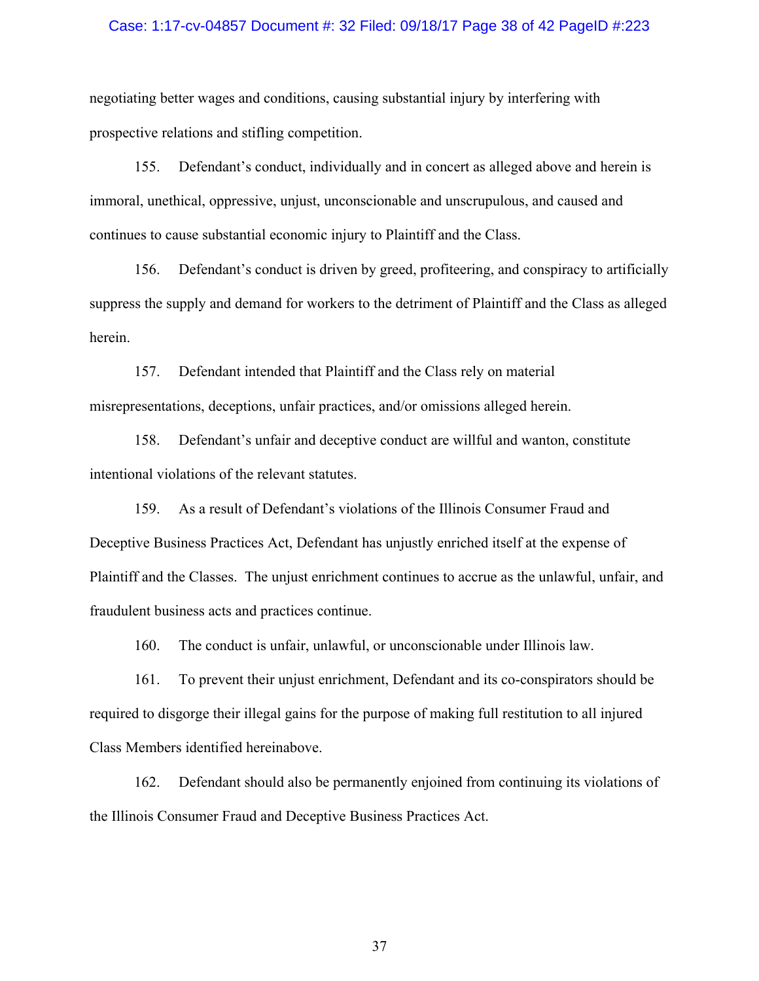#### Case: 1:17-cv-04857 Document #: 32 Filed: 09/18/17 Page 38 of 42 PageID #:223

negotiating better wages and conditions, causing substantial injury by interfering with prospective relations and stifling competition.

155. Defendant's conduct, individually and in concert as alleged above and herein is immoral, unethical, oppressive, unjust, unconscionable and unscrupulous, and caused and continues to cause substantial economic injury to Plaintiff and the Class.

156. Defendant's conduct is driven by greed, profiteering, and conspiracy to artificially suppress the supply and demand for workers to the detriment of Plaintiff and the Class as alleged herein.

157. Defendant intended that Plaintiff and the Class rely on material misrepresentations, deceptions, unfair practices, and/or omissions alleged herein.

158. Defendant's unfair and deceptive conduct are willful and wanton, constitute intentional violations of the relevant statutes.

159. As a result of Defendant's violations of the Illinois Consumer Fraud and Deceptive Business Practices Act, Defendant has unjustly enriched itself at the expense of Plaintiff and the Classes. The unjust enrichment continues to accrue as the unlawful, unfair, and fraudulent business acts and practices continue.

160. The conduct is unfair, unlawful, or unconscionable under Illinois law.

161. To prevent their unjust enrichment, Defendant and its co-conspirators should be required to disgorge their illegal gains for the purpose of making full restitution to all injured Class Members identified hereinabove.

162. Defendant should also be permanently enjoined from continuing its violations of the Illinois Consumer Fraud and Deceptive Business Practices Act.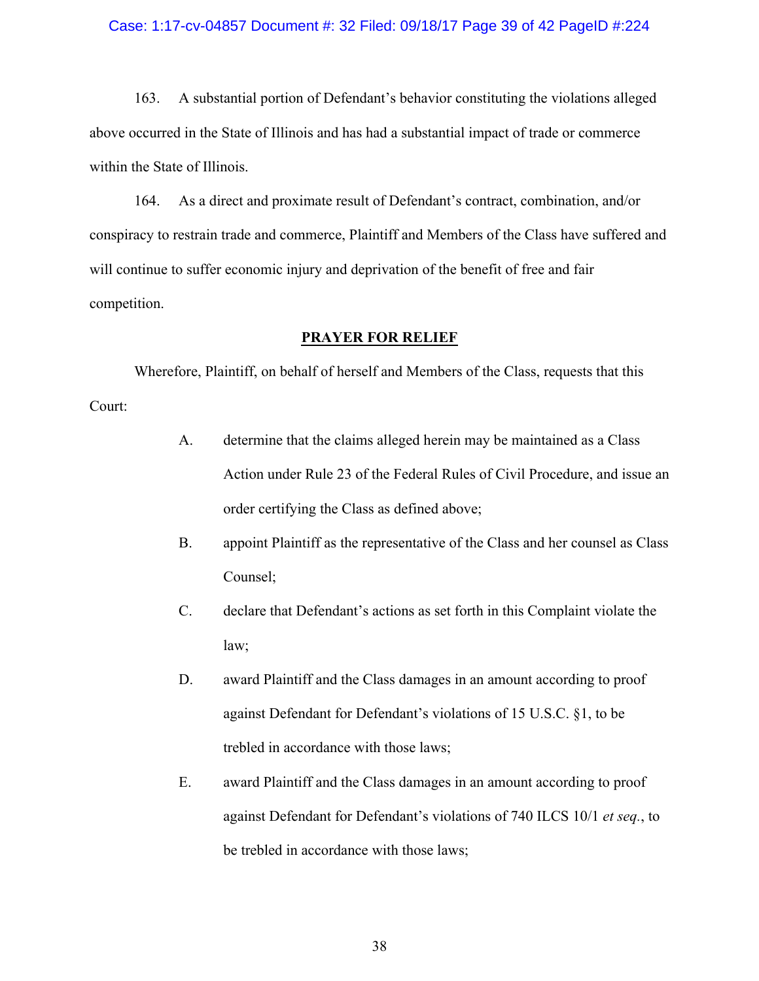#### Case: 1:17-cv-04857 Document #: 32 Filed: 09/18/17 Page 39 of 42 PageID #:224

163. A substantial portion of Defendant's behavior constituting the violations alleged above occurred in the State of Illinois and has had a substantial impact of trade or commerce within the State of Illinois.

164. As a direct and proximate result of Defendant's contract, combination, and/or conspiracy to restrain trade and commerce, Plaintiff and Members of the Class have suffered and will continue to suffer economic injury and deprivation of the benefit of free and fair competition.

## **PRAYER FOR RELIEF**

Wherefore, Plaintiff, on behalf of herself and Members of the Class, requests that this Court:

- A. determine that the claims alleged herein may be maintained as a Class Action under Rule 23 of the Federal Rules of Civil Procedure, and issue an order certifying the Class as defined above;
- B. appoint Plaintiff as the representative of the Class and her counsel as Class Counsel;
- C. declare that Defendant's actions as set forth in this Complaint violate the law;
- D. award Plaintiff and the Class damages in an amount according to proof against Defendant for Defendant's violations of 15 U.S.C. §1, to be trebled in accordance with those laws;
- E. award Plaintiff and the Class damages in an amount according to proof against Defendant for Defendant's violations of 740 ILCS 10/1 *et seq.*, to be trebled in accordance with those laws;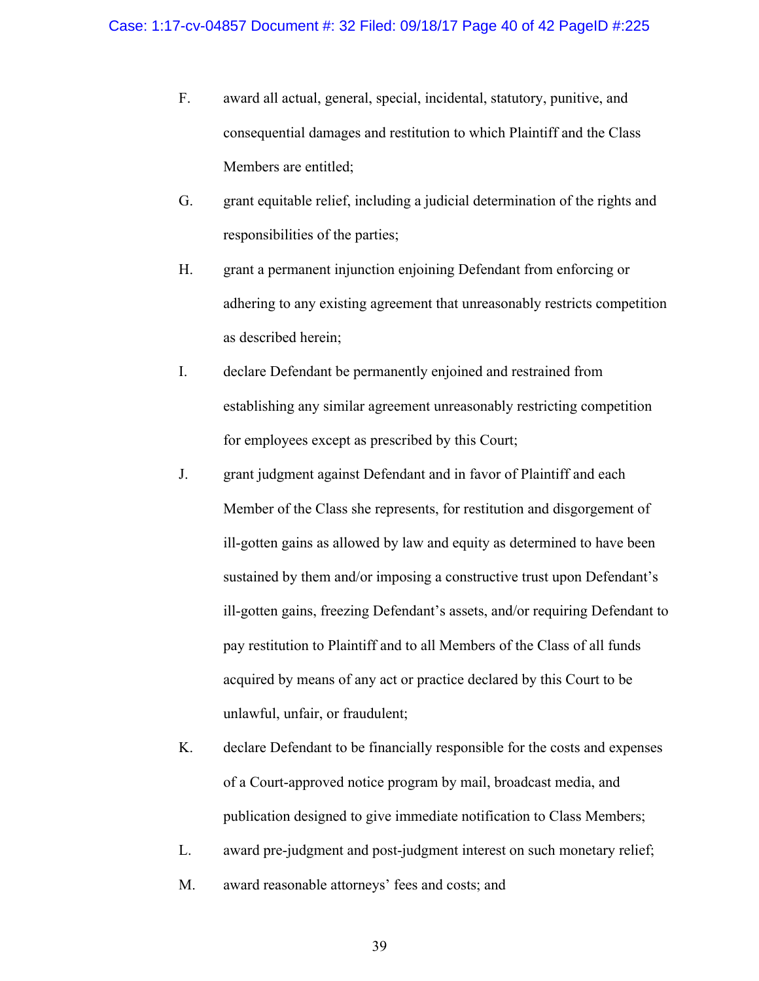- F. award all actual, general, special, incidental, statutory, punitive, and consequential damages and restitution to which Plaintiff and the Class Members are entitled;
- G. grant equitable relief, including a judicial determination of the rights and responsibilities of the parties;
- H. grant a permanent injunction enjoining Defendant from enforcing or adhering to any existing agreement that unreasonably restricts competition as described herein;
- I. declare Defendant be permanently enjoined and restrained from establishing any similar agreement unreasonably restricting competition for employees except as prescribed by this Court;
- J. grant judgment against Defendant and in favor of Plaintiff and each Member of the Class she represents, for restitution and disgorgement of ill-gotten gains as allowed by law and equity as determined to have been sustained by them and/or imposing a constructive trust upon Defendant's ill-gotten gains, freezing Defendant's assets, and/or requiring Defendant to pay restitution to Plaintiff and to all Members of the Class of all funds acquired by means of any act or practice declared by this Court to be unlawful, unfair, or fraudulent;
- K. declare Defendant to be financially responsible for the costs and expenses of a Court-approved notice program by mail, broadcast media, and publication designed to give immediate notification to Class Members;
- L. award pre-judgment and post-judgment interest on such monetary relief;
- M. award reasonable attorneys' fees and costs; and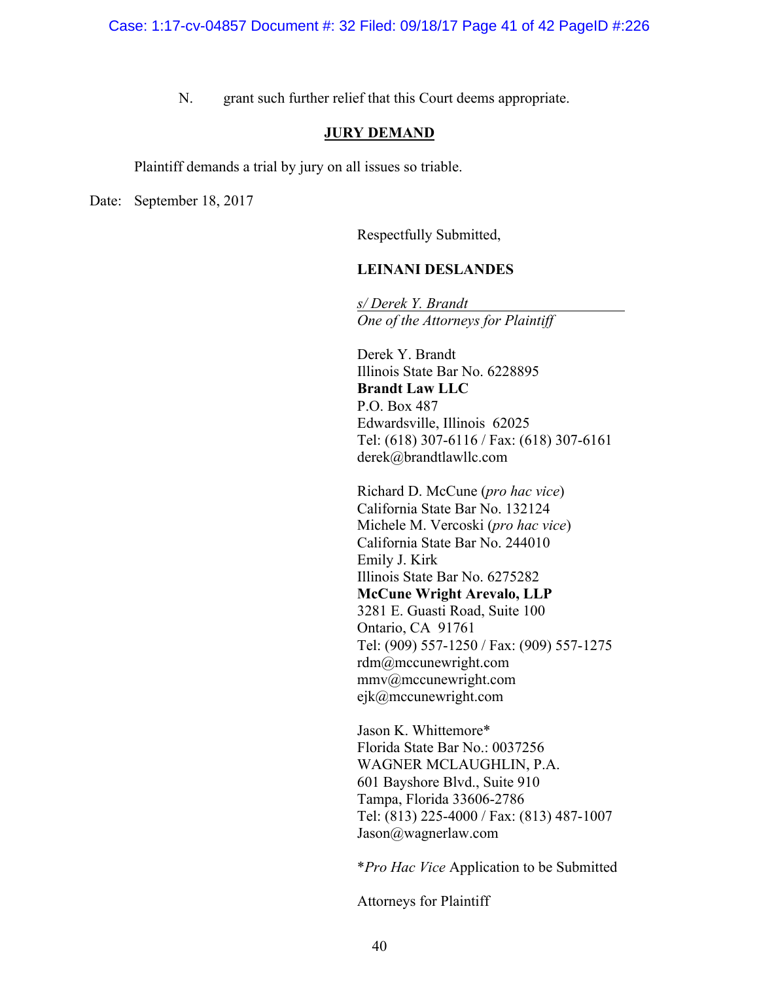N. grant such further relief that this Court deems appropriate.

## **JURY DEMAND**

Plaintiff demands a trial by jury on all issues so triable.

Date: September 18, 2017

Respectfully Submitted,

## **LEINANI DESLANDES**

*s/ Derek Y. Brandt One of the Attorneys for Plaintiff*

Derek Y. Brandt Illinois State Bar No. 6228895 **Brandt Law LLC** P.O. Box 487 Edwardsville, Illinois 62025 Tel: (618) 307-6116 / Fax: (618) 307-6161 derek@brandtlawllc.com

Richard D. McCune (*pro hac vice*) California State Bar No. 132124 Michele M. Vercoski (*pro hac vice*) California State Bar No. 244010 Emily J. Kirk Illinois State Bar No. 6275282 **McCune Wright Arevalo, LLP** 3281 E. Guasti Road, Suite 100 Ontario, CA 91761 Tel: (909) 557-1250 / Fax: (909) 557-1275 rdm@mccunewright.com mmv@mccunewright.com ejk@mccunewright.com

Jason K. Whittemore\* Florida State Bar No.: 0037256 WAGNER MCLAUGHLIN, P.A. 601 Bayshore Blvd., Suite 910 Tampa, Florida 33606-2786 Tel: (813) 225-4000 / Fax: (813) 487-1007 Jason@wagnerlaw.com

\**Pro Hac Vice* Application to be Submitted

Attorneys for Plaintiff